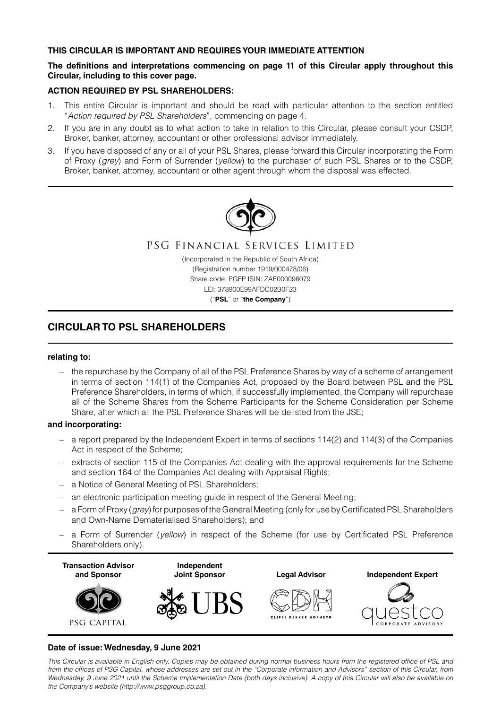# **THIS CIRCULAR IS IMPORTANT AND REQUIRES YOUR IMMEDIATE ATTENTION**

# **The definitions and interpretations commencing on page 11 of this Circular apply throughout this Circular, including to this cover page.**

# **ACTION REQUIRED BY PSL SHAREHOLDERS:**

- 1. This entire Circular is important and should be read with particular attention to the section entitled "*Action required by PSL Shareholders*", commencing on page 4.
- 2. If you are in any doubt as to what action to take in relation to this Circular, please consult your CSDP, Broker, banker, attorney, accountant or other professional advisor immediately.
- 3. If you have disposed of any or all of your PSL Shares, please forward this Circular incorporating the Form of Proxy (*grey*) and Form of Surrender (*yellow*) to the purchaser of such PSL Shares or to the CSDP, Broker, banker, attorney, accountant or other agent through whom the disposal was effected.



PSG FINANCIAL SERVICES LIMITED

(Incorporated in the Republic of South Africa) (Registration number 1919/000478/06) Share code: PGFP ISIN: ZAE000096079 LEI: 378900E99AFDC02B0F23

("**PSL**" or "**the Company**")

# **CIRCULAR TO PSL SHAREHOLDERS**

## **relating to:**

– the repurchase by the Company of all of the PSL Preference Shares by way of a scheme of arrangement in terms of section 114(1) of the Companies Act, proposed by the Board between PSL and the PSL Preference Shareholders, in terms of which, if successfully implemented, the Company will repurchase all of the Scheme Shares from the Scheme Participants for the Scheme Consideration per Scheme Share, after which all the PSL Preference Shares will be delisted from the JSE;

### **and incorporating:**

- a report prepared by the Independent Expert in terms of sections 114(2) and 114(3) of the Companies Act in respect of the Scheme;
- extracts of section 115 of the Companies Act dealing with the approval requirements for the Scheme and section 164 of the Companies Act dealing with Appraisal Rights;
- a Notice of General Meeting of PSL Shareholders;
- an electronic participation meeting guide in respect of the General Meeting;
- a Form of Proxy (*grey*) for purposes of the General Meeting (only for use by Certificated PSL Shareholders and Own-Name Dematerialised Shareholders); and
- a Form of Surrender (*yellow*) in respect of the Scheme (for use by Certificated PSL Preference Shareholders only).



# **Date of issue: Wednesday, 9 June 2021**

*This Circular is available in English only. Copies may be obtained during normal business hours from the registered office of PSL and from the offices of PSG Capital, whose addresses are set out in the "Corporate information and Advisors" section of this Circular, from Wednesday, 9 June 2021 until the Scheme Implementation Date (both days inclusive). A copy of this Circular will also be available on the Company's website (http://www.psggroup.co.za).*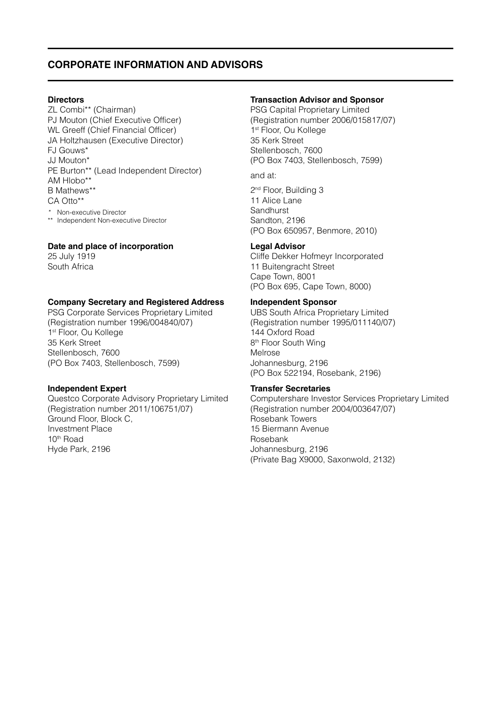# **CORPORATE INFORMATION AND ADVISORS**

## **Directors**

ZL Combi\*\* (Chairman) PJ Mouton (Chief Executive Officer) WL Greeff (Chief Financial Officer) JA Holtzhausen (Executive Director) FJ Gouws\* JJ Mouton\* PE Burton\*\* (Lead Independent Director) AM Hlobo\*\* B Mathews\*\* CA Otto\*\* *\** Non-executive Director \*\* Independent Non-executive Director

## **Date and place of incorporation**

25 July 1919 South Africa

## **Company Secretary and Registered Address**

PSG Corporate Services Proprietary Limited (Registration number 1996/004840/07) 1<sup>st</sup> Floor, Ou Kollege 35 Kerk Street Stellenbosch, 7600 (PO Box 7403, Stellenbosch, 7599)

### **Independent Expert**

Questco Corporate Advisory Proprietary Limited (Registration number 2011/106751/07) Ground Floor, Block C, Investment Place 10th Road Hyde Park, 2196

# **Transaction Advisor and Sponsor**

PSG Capital Proprietary Limited (Registration number 2006/015817/07) 1st Floor, Ou Kollege 35 Kerk Street Stellenbosch, 7600 (PO Box 7403, Stellenbosch, 7599)

# and at:

2<sup>nd</sup> Floor, Building 3 11 Alice Lane **Sandhurst** Sandton, 2196 (PO Box 650957, Benmore, 2010)

### **Legal Advisor**

Cliffe Dekker Hofmeyr Incorporated 11 Buitengracht Street Cape Town, 8001 (PO Box 695, Cape Town, 8000)

### **Independent Sponsor**

UBS South Africa Proprietary Limited (Registration number 1995/011140/07) 144 Oxford Road 8<sup>th</sup> Floor South Wing Melrose Johannesburg, 2196 (PO Box 522194, Rosebank, 2196)

### **Transfer Secretaries**

Computershare Investor Services Proprietary Limited (Registration number 2004/003647/07) Rosebank Towers 15 Biermann Avenue Rosebank Johannesburg, 2196 (Private Bag X9000, Saxonwold, 2132)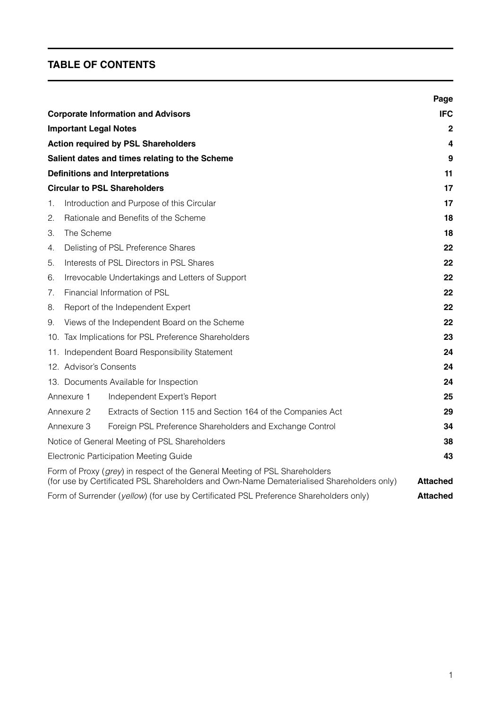# **TABLE OF CONTENTS**

|    |                              |                                                                                                                                                                        | Page            |
|----|------------------------------|------------------------------------------------------------------------------------------------------------------------------------------------------------------------|-----------------|
|    |                              | <b>Corporate Information and Advisors</b>                                                                                                                              | <b>IFC</b>      |
|    | <b>Important Legal Notes</b> |                                                                                                                                                                        | $\mathbf{2}$    |
|    |                              | <b>Action required by PSL Shareholders</b>                                                                                                                             | 4               |
|    |                              | Salient dates and times relating to the Scheme                                                                                                                         | 9               |
|    |                              | <b>Definitions and Interpretations</b>                                                                                                                                 | 11              |
|    |                              | <b>Circular to PSL Shareholders</b>                                                                                                                                    | 17              |
| 1. |                              | Introduction and Purpose of this Circular                                                                                                                              | 17              |
| 2. |                              | Rationale and Benefits of the Scheme                                                                                                                                   | 18              |
| 3. | The Scheme                   |                                                                                                                                                                        | 18              |
| 4. |                              | Delisting of PSL Preference Shares                                                                                                                                     | 22              |
| 5. |                              | Interests of PSL Directors in PSL Shares                                                                                                                               | 22              |
| 6. |                              | Irrevocable Undertakings and Letters of Support                                                                                                                        | 22              |
| 7. | Financial Information of PSL |                                                                                                                                                                        |                 |
| 8. |                              | Report of the Independent Expert                                                                                                                                       | 22              |
| 9. |                              | Views of the Independent Board on the Scheme                                                                                                                           | 22              |
|    |                              | 10. Tax Implications for PSL Preference Shareholders                                                                                                                   | 23              |
|    |                              | 11. Independent Board Responsibility Statement                                                                                                                         | 24              |
|    | 12. Advisor's Consents       |                                                                                                                                                                        | 24              |
|    |                              | 13. Documents Available for Inspection                                                                                                                                 | 24              |
|    | Annexure 1                   | Independent Expert's Report                                                                                                                                            | 25              |
|    | Annexure 2                   | Extracts of Section 115 and Section 164 of the Companies Act                                                                                                           | 29              |
|    | Annexure 3                   | Foreign PSL Preference Shareholders and Exchange Control                                                                                                               | 34              |
|    |                              | Notice of General Meeting of PSL Shareholders                                                                                                                          | 38              |
|    |                              | Electronic Participation Meeting Guide                                                                                                                                 | 43              |
|    |                              | Form of Proxy (grey) in respect of the General Meeting of PSL Shareholders<br>(for use by Certificated PSL Shareholders and Own-Name Dematerialised Shareholders only) | <b>Attached</b> |
|    |                              | Form of Surrender (yellow) (for use by Certificated PSL Preference Shareholders only)                                                                                  | <b>Attached</b> |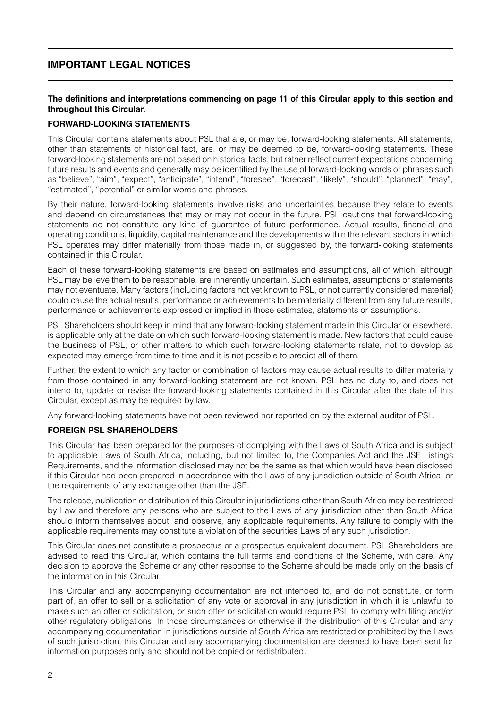# **IMPORTANT LEGAL NOTICES**

# **The definitions and interpretations commencing on page 11 of this Circular apply to this section and throughout this Circular.**

# **FORWARD-LOOKING STATEMENTS**

This Circular contains statements about PSL that are, or may be, forward-looking statements. All statements, other than statements of historical fact, are, or may be deemed to be, forward-looking statements. These forward-looking statements are not based on historical facts, but rather reflect current expectations concerning future results and events and generally may be identified by the use of forward-looking words or phrases such as "believe", "aim", "expect", "anticipate", "intend", "foresee", "forecast", "likely", "should", "planned", "may", "estimated", "potential" or similar words and phrases.

By their nature, forward-looking statements involve risks and uncertainties because they relate to events and depend on circumstances that may or may not occur in the future. PSL cautions that forward-looking statements do not constitute any kind of guarantee of future performance. Actual results, financial and operating conditions, liquidity, capital maintenance and the developments within the relevant sectors in which PSL operates may differ materially from those made in, or suggested by, the forward-looking statements contained in this Circular.

Each of these forward-looking statements are based on estimates and assumptions, all of which, although PSL may believe them to be reasonable, are inherently uncertain. Such estimates, assumptions or statements may not eventuate. Many factors (including factors not yet known to PSL, or not currently considered material) could cause the actual results, performance or achievements to be materially different from any future results, performance or achievements expressed or implied in those estimates, statements or assumptions.

PSL Shareholders should keep in mind that any forward-looking statement made in this Circular or elsewhere, is applicable only at the date on which such forward-looking statement is made. New factors that could cause the business of PSL, or other matters to which such forward-looking statements relate, not to develop as expected may emerge from time to time and it is not possible to predict all of them.

Further, the extent to which any factor or combination of factors may cause actual results to differ materially from those contained in any forward-looking statement are not known. PSL has no duty to, and does not intend to, update or revise the forward-looking statements contained in this Circular after the date of this Circular, except as may be required by law.

Any forward-looking statements have not been reviewed nor reported on by the external auditor of PSL.

# **FOREIGN PSL SHAREHOLDERS**

This Circular has been prepared for the purposes of complying with the Laws of South Africa and is subject to applicable Laws of South Africa, including, but not limited to, the Companies Act and the JSE Listings Requirements, and the information disclosed may not be the same as that which would have been disclosed if this Circular had been prepared in accordance with the Laws of any jurisdiction outside of South Africa, or the requirements of any exchange other than the JSE.

The release, publication or distribution of this Circular in jurisdictions other than South Africa may be restricted by Law and therefore any persons who are subject to the Laws of any jurisdiction other than South Africa should inform themselves about, and observe, any applicable requirements. Any failure to comply with the applicable requirements may constitute a violation of the securities Laws of any such jurisdiction.

This Circular does not constitute a prospectus or a prospectus equivalent document. PSL Shareholders are advised to read this Circular, which contains the full terms and conditions of the Scheme, with care. Any decision to approve the Scheme or any other response to the Scheme should be made only on the basis of the information in this Circular.

This Circular and any accompanying documentation are not intended to, and do not constitute, or form part of, an offer to sell or a solicitation of any vote or approval in any jurisdiction in which it is unlawful to make such an offer or solicitation, or such offer or solicitation would require PSL to comply with filing and/or other regulatory obligations. In those circumstances or otherwise if the distribution of this Circular and any accompanying documentation in jurisdictions outside of South Africa are restricted or prohibited by the Laws of such jurisdiction, this Circular and any accompanying documentation are deemed to have been sent for information purposes only and should not be copied or redistributed.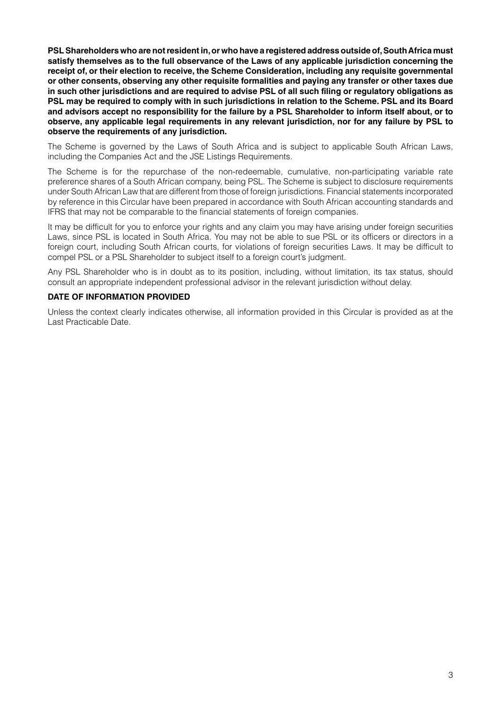**PSL Shareholders who are not resident in, or who have a registered address outside of, South Africa must satisfy themselves as to the full observance of the Laws of any applicable jurisdiction concerning the receipt of, or their election to receive, the Scheme Consideration, including any requisite governmental or other consents, observing any other requisite formalities and paying any transfer or other taxes due in such other jurisdictions and are required to advise PSL of all such filing or regulatory obligations as PSL may be required to comply with in such jurisdictions in relation to the Scheme. PSL and its Board and advisors accept no responsibility for the failure by a PSL Shareholder to inform itself about, or to observe, any applicable legal requirements in any relevant jurisdiction, nor for any failure by PSL to observe the requirements of any jurisdiction.**

The Scheme is governed by the Laws of South Africa and is subject to applicable South African Laws, including the Companies Act and the JSE Listings Requirements.

The Scheme is for the repurchase of the non-redeemable, cumulative, non-participating variable rate preference shares of a South African company, being PSL. The Scheme is subject to disclosure requirements under South African Law that are different from those of foreign jurisdictions. Financial statements incorporated by reference in this Circular have been prepared in accordance with South African accounting standards and IFRS that may not be comparable to the financial statements of foreign companies.

It may be difficult for you to enforce your rights and any claim you may have arising under foreign securities Laws, since PSL is located in South Africa. You may not be able to sue PSL or its officers or directors in a foreign court, including South African courts, for violations of foreign securities Laws. It may be difficult to compel PSL or a PSL Shareholder to subject itself to a foreign court's judgment.

Any PSL Shareholder who is in doubt as to its position, including, without limitation, its tax status, should consult an appropriate independent professional advisor in the relevant jurisdiction without delay.

# **DATE OF INFORMATION PROVIDED**

Unless the context clearly indicates otherwise, all information provided in this Circular is provided as at the Last Practicable Date.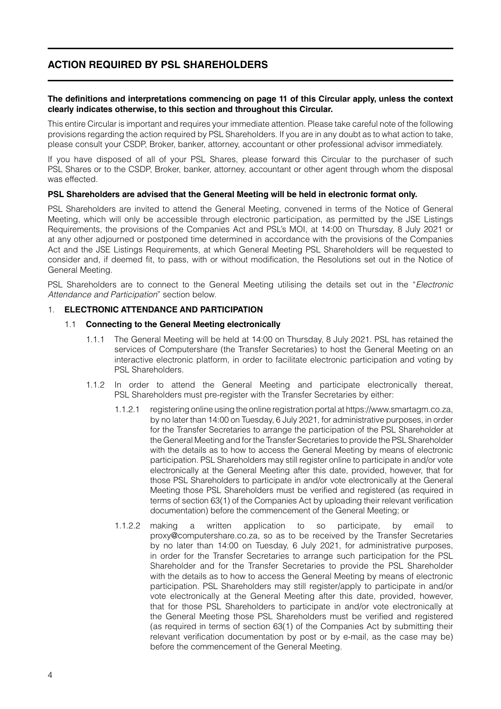# **ACTION REQUIRED BY PSL SHAREHOLDERS**

## **The definitions and interpretations commencing on page 11 of this Circular apply, unless the context clearly indicates otherwise, to this section and throughout this Circular.**

This entire Circular is important and requires your immediate attention. Please take careful note of the following provisions regarding the action required by PSL Shareholders. If you are in any doubt as to what action to take, please consult your CSDP, Broker, banker, attorney, accountant or other professional advisor immediately.

If you have disposed of all of your PSL Shares, please forward this Circular to the purchaser of such PSL Shares or to the CSDP, Broker, banker, attorney, accountant or other agent through whom the disposal was effected.

# **PSL Shareholders are advised that the General Meeting will be held in electronic format only.**

PSL Shareholders are invited to attend the General Meeting, convened in terms of the Notice of General Meeting, which will only be accessible through electronic participation, as permitted by the JSE Listings Requirements, the provisions of the Companies Act and PSL's MOI, at 14:00 on Thursday, 8 July 2021 or at any other adjourned or postponed time determined in accordance with the provisions of the Companies Act and the JSE Listings Requirements, at which General Meeting PSL Shareholders will be requested to consider and, if deemed fit, to pass, with or without modification, the Resolutions set out in the Notice of General Meeting.

PSL Shareholders are to connect to the General Meeting utilising the details set out in the "*Electronic Attendance and Participation*" section below.

# 1. **ELECTRONIC ATTENDANCE AND PARTICIPATION**

# 1.1 **Connecting to the General Meeting electronically**

- 1.1.1 The General Meeting will be held at 14:00 on Thursday, 8 July 2021. PSL has retained the services of Computershare (the Transfer Secretaries) to host the General Meeting on an interactive electronic platform, in order to facilitate electronic participation and voting by PSL Shareholders.
- 1.1.2 In order to attend the General Meeting and participate electronically thereat, PSL Shareholders must pre-register with the Transfer Secretaries by either:
	- 1.1.2.1 registering online using the online registration portal at https://www.smartagm.co.za, by no later than 14:00 on Tuesday, 6 July 2021, for administrative purposes, in order for the Transfer Secretaries to arrange the participation of the PSL Shareholder at the General Meeting and for the Transfer Secretaries to provide the PSL Shareholder with the details as to how to access the General Meeting by means of electronic participation. PSL Shareholders may still register online to participate in and/or vote electronically at the General Meeting after this date, provided, however, that for those PSL Shareholders to participate in and/or vote electronically at the General Meeting those PSL Shareholders must be verified and registered (as required in terms of section 63(1) of the Companies Act by uploading their relevant verification documentation) before the commencement of the General Meeting; or
	- 1.1.2.2 making a written application to so participate, by email to proxy@computershare.co.za, so as to be received by the Transfer Secretaries by no later than 14:00 on Tuesday, 6 July 2021, for administrative purposes, in order for the Transfer Secretaries to arrange such participation for the PSL Shareholder and for the Transfer Secretaries to provide the PSL Shareholder with the details as to how to access the General Meeting by means of electronic participation. PSL Shareholders may still register/apply to participate in and/or vote electronically at the General Meeting after this date, provided, however, that for those PSL Shareholders to participate in and/or vote electronically at the General Meeting those PSL Shareholders must be verified and registered (as required in terms of section 63(1) of the Companies Act by submitting their relevant verification documentation by post or by e-mail, as the case may be) before the commencement of the General Meeting.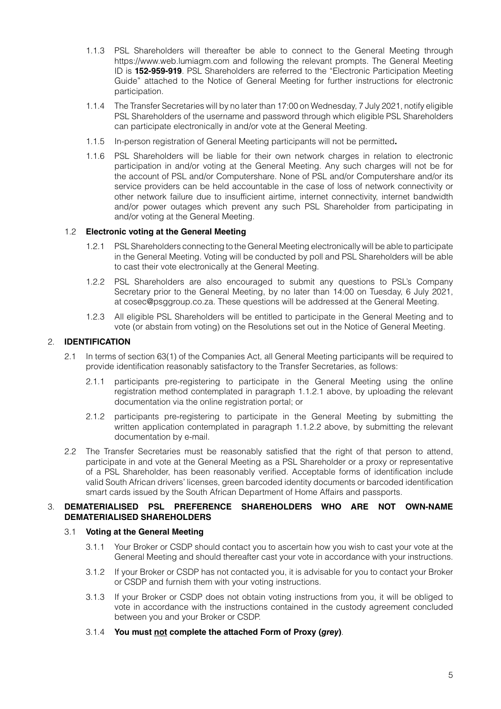- 1.1.3 PSL Shareholders will thereafter be able to connect to the General Meeting through https://www.web.lumiagm.com and following the relevant prompts. The General Meeting ID is **152-959-919**. PSL Shareholders are referred to the "Electronic Participation Meeting Guide" attached to the Notice of General Meeting for further instructions for electronic participation.
- 1.1.4 The Transfer Secretaries will by no later than 17:00 on Wednesday, 7 July 2021, notify eligible PSL Shareholders of the username and password through which eligible PSL Shareholders can participate electronically in and/or vote at the General Meeting.
- 1.1.5 In-person registration of General Meeting participants will not be permitted**.**
- 1.1.6 PSL Shareholders will be liable for their own network charges in relation to electronic participation in and/or voting at the General Meeting. Any such charges will not be for the account of PSL and/or Computershare. None of PSL and/or Computershare and/or its service providers can be held accountable in the case of loss of network connectivity or other network failure due to insufficient airtime, internet connectivity, internet bandwidth and/or power outages which prevent any such PSL Shareholder from participating in and/or voting at the General Meeting.

# 1.2 **Electronic voting at the General Meeting**

- 1.2.1 PSL Shareholders connecting to the General Meeting electronically will be able to participate in the General Meeting. Voting will be conducted by poll and PSL Shareholders will be able to cast their vote electronically at the General Meeting.
- 1.2.2 PSL Shareholders are also encouraged to submit any questions to PSL's Company Secretary prior to the General Meeting, by no later than 14:00 on Tuesday, 6 July 2021, at cosec@psggroup.co.za. These questions will be addressed at the General Meeting.
- 1.2.3 All eligible PSL Shareholders will be entitled to participate in the General Meeting and to vote (or abstain from voting) on the Resolutions set out in the Notice of General Meeting.

# 2. **IDENTIFICATION**

- 2.1 In terms of section 63(1) of the Companies Act, all General Meeting participants will be required to provide identification reasonably satisfactory to the Transfer Secretaries, as follows:
	- 2.1.1 participants pre-registering to participate in the General Meeting using the online registration method contemplated in paragraph 1.1.2.1 above, by uploading the relevant documentation via the online registration portal; or
	- 2.1.2 participants pre-registering to participate in the General Meeting by submitting the written application contemplated in paragraph 1.1.2.2 above, by submitting the relevant documentation by e-mail.
- 2.2 The Transfer Secretaries must be reasonably satisfied that the right of that person to attend, participate in and vote at the General Meeting as a PSL Shareholder or a proxy or representative of a PSL Shareholder, has been reasonably verified. Acceptable forms of identification include valid South African drivers' licenses, green barcoded identity documents or barcoded identification smart cards issued by the South African Department of Home Affairs and passports.

# 3. **DEMATERIALISED PSL PREFERENCE SHAREHOLDERS WHO ARE NOT OWN-NAME DEMATERIALISED SHAREHOLDERS**

# 3.1 **Voting at the General Meeting**

- 3.1.1 Your Broker or CSDP should contact you to ascertain how you wish to cast your vote at the General Meeting and should thereafter cast your vote in accordance with your instructions.
- 3.1.2 If your Broker or CSDP has not contacted you, it is advisable for you to contact your Broker or CSDP and furnish them with your voting instructions.
- 3.1.3 If your Broker or CSDP does not obtain voting instructions from you, it will be obliged to vote in accordance with the instructions contained in the custody agreement concluded between you and your Broker or CSDP.
- 3.1.4 **You must not complete the attached Form of Proxy (***grey***)**.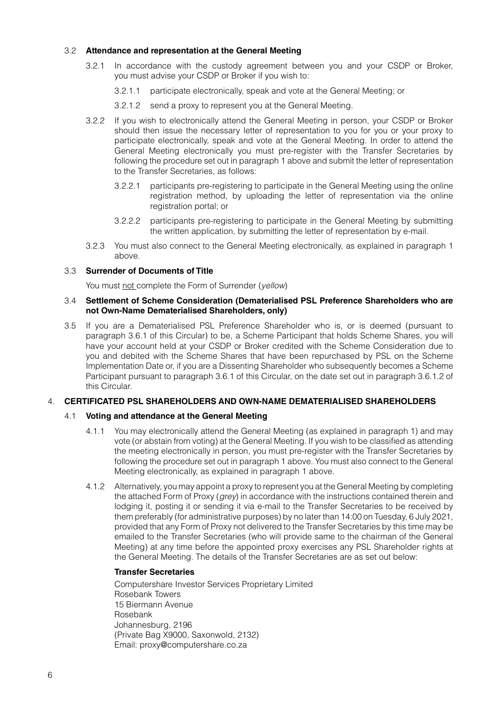# 3.2 **Attendance and representation at the General Meeting**

- 3.2.1 In accordance with the custody agreement between you and your CSDP or Broker, you must advise your CSDP or Broker if you wish to:
	- 3.2.1.1 participate electronically, speak and vote at the General Meeting; or
	- 3.2.1.2 send a proxy to represent you at the General Meeting.
- 3.2.2 If you wish to electronically attend the General Meeting in person, your CSDP or Broker should then issue the necessary letter of representation to you for you or your proxy to participate electronically, speak and vote at the General Meeting. In order to attend the General Meeting electronically you must pre-register with the Transfer Secretaries by following the procedure set out in paragraph 1 above and submit the letter of representation to the Transfer Secretaries, as follows:
	- 3.2.2.1 participants pre-registering to participate in the General Meeting using the online registration method, by uploading the letter of representation via the online registration portal; or
	- 3.2.2.2 participants pre-registering to participate in the General Meeting by submitting the written application, by submitting the letter of representation by e-mail.
- 3.2.3 You must also connect to the General Meeting electronically, as explained in paragraph 1 above.

# 3.3 **Surrender of Documents of Title**

You must not complete the Form of Surrender (*yellow*)

## 3.4 **Settlement of Scheme Consideration (Dematerialised PSL Preference Shareholders who are not Own-Name Dematerialised Shareholders, only)**

3.5 If you are a Dematerialised PSL Preference Shareholder who is, or is deemed (pursuant to paragraph 3.6.1 of this Circular) to be, a Scheme Participant that holds Scheme Shares, you will have your account held at your CSDP or Broker credited with the Scheme Consideration due to you and debited with the Scheme Shares that have been repurchased by PSL on the Scheme Implementation Date or, if you are a Dissenting Shareholder who subsequently becomes a Scheme Participant pursuant to paragraph 3.6.1 of this Circular, on the date set out in paragraph 3.6.1.2 of this Circular.

# 4. **CERTIFICATED PSL SHAREHOLDERS AND OWN-NAME DEMATERIALISED SHAREHOLDERS**

# 4.1 **Voting and attendance at the General Meeting**

- 4.1.1 You may electronically attend the General Meeting (as explained in paragraph 1) and may vote (or abstain from voting) at the General Meeting. If you wish to be classified as attending the meeting electronically in person, you must pre-register with the Transfer Secretaries by following the procedure set out in paragraph 1 above. You must also connect to the General Meeting electronically, as explained in paragraph 1 above.
- 4.1.2 Alternatively, you may appoint a proxy to represent you at the General Meeting by completing the attached Form of Proxy (*grey*) in accordance with the instructions contained therein and lodging it, posting it or sending it via e-mail to the Transfer Secretaries to be received by them preferably (for administrative purposes) by no later than 14:00 on Tuesday, 6 July 2021, provided that any Form of Proxy not delivered to the Transfer Secretaries by this time may be emailed to the Transfer Secretaries (who will provide same to the chairman of the General Meeting) at any time before the appointed proxy exercises any PSL Shareholder rights at the General Meeting. The details of the Transfer Secretaries are as set out below:

# **Transfer Secretaries**

Computershare Investor Services Proprietary Limited Rosebank Towers 15 Biermann Avenue Rosebank Johannesburg, 2196 (Private Bag X9000, Saxonwold, 2132) Email: proxy@computershare.co.za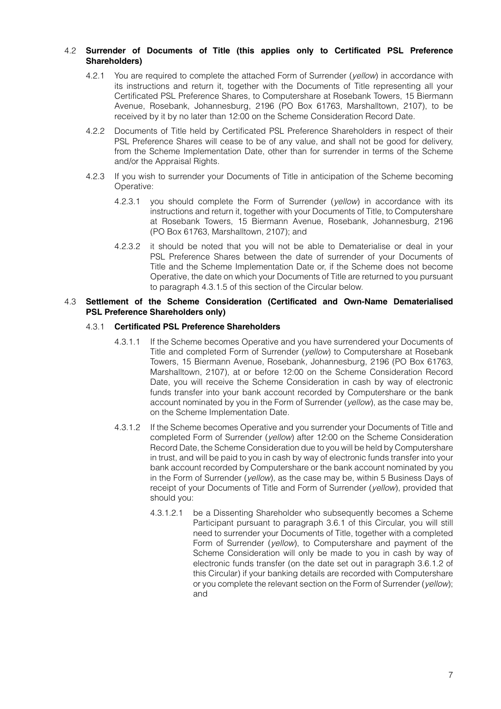# 4.2 **Surrender of Documents of Title (this applies only to Certificated PSL Preference Shareholders)**

- 4.2.1 You are required to complete the attached Form of Surrender (*yellow*) in accordance with its instructions and return it, together with the Documents of Title representing all your Certificated PSL Preference Shares, to Computershare at Rosebank Towers, 15 Biermann Avenue, Rosebank, Johannesburg, 2196 (PO Box 61763, Marshalltown, 2107), to be received by it by no later than 12:00 on the Scheme Consideration Record Date.
- 4.2.2 Documents of Title held by Certificated PSL Preference Shareholders in respect of their PSL Preference Shares will cease to be of any value, and shall not be good for delivery, from the Scheme Implementation Date, other than for surrender in terms of the Scheme and/or the Appraisal Rights.
- 4.2.3 If you wish to surrender your Documents of Title in anticipation of the Scheme becoming Operative:
	- 4.2.3.1 you should complete the Form of Surrender (*yellow*) in accordance with its instructions and return it, together with your Documents of Title, to Computershare at Rosebank Towers, 15 Biermann Avenue, Rosebank, Johannesburg, 2196 (PO Box 61763, Marshalltown, 2107); and
	- 4.2.3.2 it should be noted that you will not be able to Dematerialise or deal in your PSL Preference Shares between the date of surrender of your Documents of Title and the Scheme Implementation Date or, if the Scheme does not become Operative, the date on which your Documents of Title are returned to you pursuant to paragraph 4.3.1.5 of this section of the Circular below.

# 4.3 **Settlement of the Scheme Consideration (Certificated and Own-Name Dematerialised PSL Preference Shareholders only)**

# 4.3.1 **Certificated PSL Preference Shareholders**

- 4.3.1.1 If the Scheme becomes Operative and you have surrendered your Documents of Title and completed Form of Surrender (*yellow*) to Computershare at Rosebank Towers, 15 Biermann Avenue, Rosebank, Johannesburg, 2196 (PO Box 61763, Marshalltown, 2107), at or before 12:00 on the Scheme Consideration Record Date, you will receive the Scheme Consideration in cash by way of electronic funds transfer into your bank account recorded by Computershare or the bank account nominated by you in the Form of Surrender (*yellow*), as the case may be, on the Scheme Implementation Date.
- 4.3.1.2 If the Scheme becomes Operative and you surrender your Documents of Title and completed Form of Surrender (*yellow*) after 12:00 on the Scheme Consideration Record Date, the Scheme Consideration due to you will be held by Computershare in trust, and will be paid to you in cash by way of electronic funds transfer into your bank account recorded by Computershare or the bank account nominated by you in the Form of Surrender (*yellow*), as the case may be, within 5 Business Days of receipt of your Documents of Title and Form of Surrender (*yellow*), provided that should you:
	- 4.3.1.2.1 be a Dissenting Shareholder who subsequently becomes a Scheme Participant pursuant to paragraph 3.6.1 of this Circular, you will still need to surrender your Documents of Title, together with a completed Form of Surrender (*yellow*), to Computershare and payment of the Scheme Consideration will only be made to you in cash by way of electronic funds transfer (on the date set out in paragraph 3.6.1.2 of this Circular) if your banking details are recorded with Computershare or you complete the relevant section on the Form of Surrender (*yellow*); and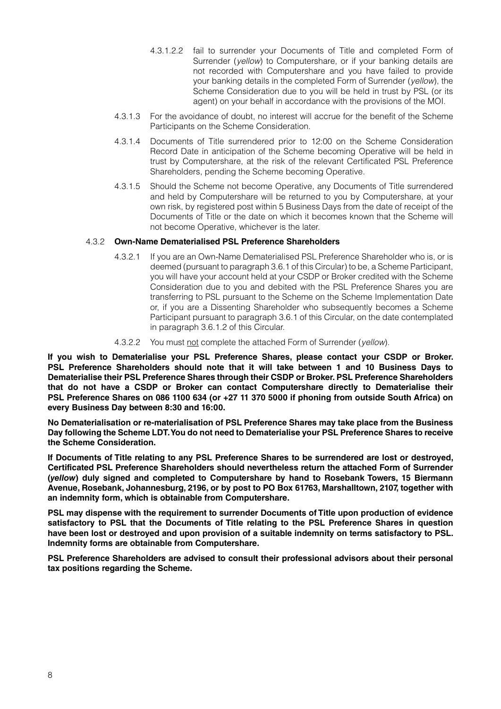- 4.3.1.2.2 fail to surrender your Documents of Title and completed Form of Surrender (*yellow*) to Computershare, or if your banking details are not recorded with Computershare and you have failed to provide your banking details in the completed Form of Surrender (*yellow*), the Scheme Consideration due to you will be held in trust by PSL (or its agent) on your behalf in accordance with the provisions of the MOI.
- 4.3.1.3 For the avoidance of doubt, no interest will accrue for the benefit of the Scheme Participants on the Scheme Consideration.
- 4.3.1.4 Documents of Title surrendered prior to 12:00 on the Scheme Consideration Record Date in anticipation of the Scheme becoming Operative will be held in trust by Computershare, at the risk of the relevant Certificated PSL Preference Shareholders, pending the Scheme becoming Operative.
- 4.3.1.5 Should the Scheme not become Operative, any Documents of Title surrendered and held by Computershare will be returned to you by Computershare, at your own risk, by registered post within 5 Business Days from the date of receipt of the Documents of Title or the date on which it becomes known that the Scheme will not become Operative, whichever is the later.

# 4.3.2 **Own-Name Dematerialised PSL Preference Shareholders**

- 4.3.2.1 If you are an Own-Name Dematerialised PSL Preference Shareholder who is, or is deemed (pursuant to paragraph 3.6.1 of this Circular) to be, a Scheme Participant, you will have your account held at your CSDP or Broker credited with the Scheme Consideration due to you and debited with the PSL Preference Shares you are transferring to PSL pursuant to the Scheme on the Scheme Implementation Date or, if you are a Dissenting Shareholder who subsequently becomes a Scheme Participant pursuant to paragraph 3.6.1 of this Circular, on the date contemplated in paragraph 3.6.1.2 of this Circular.
- 4.3.2.2 You must not complete the attached Form of Surrender (*yellow*).

**If you wish to Dematerialise your PSL Preference Shares, please contact your CSDP or Broker. PSL Preference Shareholders should note that it will take between 1 and 10 Business Days to Dematerialise their PSL Preference Shares through their CSDP or Broker. PSL Preference Shareholders that do not have a CSDP or Broker can contact Computershare directly to Dematerialise their PSL Preference Shares on 086 1100 634 (or +27 11 370 5000 if phoning from outside South Africa) on every Business Day between 8:30 and 16:00.**

**No Dematerialisation or re-materialisation of PSL Preference Shares may take place from the Business Day following the Scheme LDT. You do not need to Dematerialise your PSL Preference Shares to receive the Scheme Consideration.**

**If Documents of Title relating to any PSL Preference Shares to be surrendered are lost or destroyed, Certificated PSL Preference Shareholders should nevertheless return the attached Form of Surrender (***yellow***) duly signed and completed to Computershare by hand to Rosebank Towers, 15 Biermann Avenue, Rosebank, Johannesburg, 2196, or by post to PO Box 61763, Marshalltown, 2107, together with an indemnity form, which is obtainable from Computershare.**

**PSL may dispense with the requirement to surrender Documents of Title upon production of evidence satisfactory to PSL that the Documents of Title relating to the PSL Preference Shares in question have been lost or destroyed and upon provision of a suitable indemnity on terms satisfactory to PSL. Indemnity forms are obtainable from Computershare.**

**PSL Preference Shareholders are advised to consult their professional advisors about their personal tax positions regarding the Scheme.**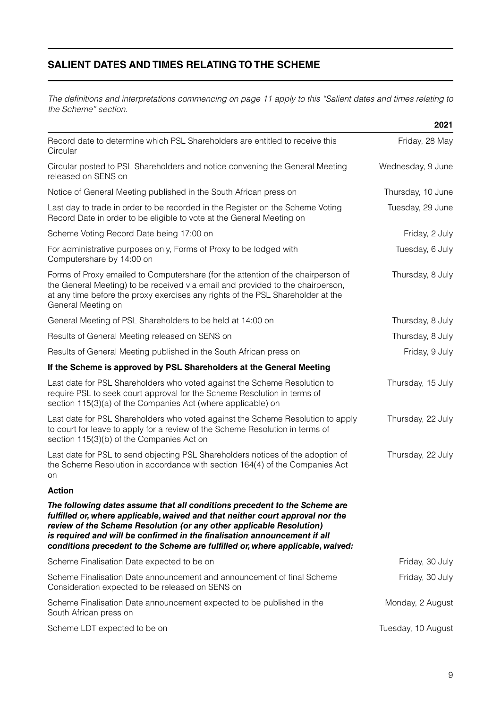# **SALIENT DATES AND TIMES RELATING TO THE SCHEME**

*The definitions and interpretations commencing on page 11 apply to this "Salient dates and times relating to the Scheme" section.*

|                                                                                                                                                                                                                                                                                                                                                                                                     | 2021               |
|-----------------------------------------------------------------------------------------------------------------------------------------------------------------------------------------------------------------------------------------------------------------------------------------------------------------------------------------------------------------------------------------------------|--------------------|
| Record date to determine which PSL Shareholders are entitled to receive this<br>Circular                                                                                                                                                                                                                                                                                                            | Friday, 28 May     |
| Circular posted to PSL Shareholders and notice convening the General Meeting<br>released on SENS on                                                                                                                                                                                                                                                                                                 | Wednesday, 9 June  |
| Notice of General Meeting published in the South African press on                                                                                                                                                                                                                                                                                                                                   | Thursday, 10 June  |
| Last day to trade in order to be recorded in the Register on the Scheme Voting<br>Record Date in order to be eligible to vote at the General Meeting on                                                                                                                                                                                                                                             | Tuesday, 29 June   |
| Scheme Voting Record Date being 17:00 on                                                                                                                                                                                                                                                                                                                                                            | Friday, 2 July     |
| For administrative purposes only, Forms of Proxy to be lodged with<br>Computershare by 14:00 on                                                                                                                                                                                                                                                                                                     | Tuesday, 6 July    |
| Forms of Proxy emailed to Computershare (for the attention of the chairperson of<br>the General Meeting) to be received via email and provided to the chairperson,<br>at any time before the proxy exercises any rights of the PSL Shareholder at the<br>General Meeting on                                                                                                                         | Thursday, 8 July   |
| General Meeting of PSL Shareholders to be held at 14:00 on                                                                                                                                                                                                                                                                                                                                          | Thursday, 8 July   |
| Results of General Meeting released on SENS on                                                                                                                                                                                                                                                                                                                                                      | Thursday, 8 July   |
| Results of General Meeting published in the South African press on                                                                                                                                                                                                                                                                                                                                  | Friday, 9 July     |
| If the Scheme is approved by PSL Shareholders at the General Meeting                                                                                                                                                                                                                                                                                                                                |                    |
| Last date for PSL Shareholders who voted against the Scheme Resolution to<br>require PSL to seek court approval for the Scheme Resolution in terms of<br>section 115(3)(a) of the Companies Act (where applicable) on                                                                                                                                                                               | Thursday, 15 July  |
| Last date for PSL Shareholders who voted against the Scheme Resolution to apply<br>to court for leave to apply for a review of the Scheme Resolution in terms of<br>section 115(3)(b) of the Companies Act on                                                                                                                                                                                       | Thursday, 22 July  |
| Last date for PSL to send objecting PSL Shareholders notices of the adoption of<br>the Scheme Resolution in accordance with section 164(4) of the Companies Act<br>on                                                                                                                                                                                                                               | Thursday, 22 July  |
| <b>Action</b>                                                                                                                                                                                                                                                                                                                                                                                       |                    |
| The following dates assume that all conditions precedent to the Scheme are<br>fulfilled or, where applicable, waived and that neither court approval nor the<br>review of the Scheme Resolution (or any other applicable Resolution)<br>is required and will be confirmed in the finalisation announcement if all<br>conditions precedent to the Scheme are fulfilled or, where applicable, waived: |                    |
| Scheme Finalisation Date expected to be on                                                                                                                                                                                                                                                                                                                                                          | Friday, 30 July    |
| Scheme Finalisation Date announcement and announcement of final Scheme<br>Consideration expected to be released on SENS on                                                                                                                                                                                                                                                                          | Friday, 30 July    |
| Scheme Finalisation Date announcement expected to be published in the<br>South African press on                                                                                                                                                                                                                                                                                                     | Monday, 2 August   |
| Scheme LDT expected to be on                                                                                                                                                                                                                                                                                                                                                                        | Tuesday, 10 August |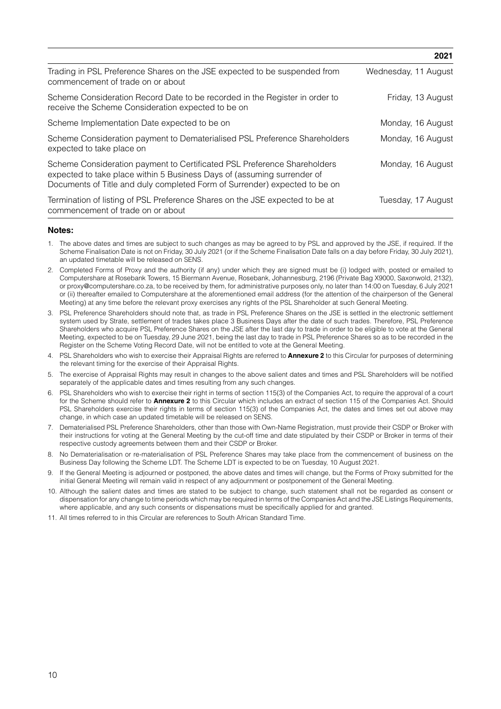|                                                                                                                                                                                                                                   | 2021                 |
|-----------------------------------------------------------------------------------------------------------------------------------------------------------------------------------------------------------------------------------|----------------------|
| Trading in PSL Preference Shares on the JSE expected to be suspended from<br>commencement of trade on or about                                                                                                                    | Wednesday, 11 August |
| Scheme Consideration Record Date to be recorded in the Register in order to<br>receive the Scheme Consideration expected to be on                                                                                                 | Friday, 13 August    |
| Scheme Implementation Date expected to be on                                                                                                                                                                                      | Monday, 16 August    |
| Scheme Consideration payment to Dematerialised PSL Preference Shareholders<br>expected to take place on                                                                                                                           | Monday, 16 August    |
| Scheme Consideration payment to Certificated PSL Preference Shareholders<br>expected to take place within 5 Business Days of (assuming surrender of<br>Documents of Title and duly completed Form of Surrender) expected to be on | Monday, 16 August    |
| Termination of listing of PSL Preference Shares on the JSE expected to be at<br>commencement of trade on or about                                                                                                                 | Tuesday, 17 August   |

## **Notes:**

- 1. The above dates and times are subject to such changes as may be agreed to by PSL and approved by the JSE, if required. If the Scheme Finalisation Date is not on Friday, 30 July 2021 (or if the Scheme Finalisation Date falls on a day before Friday, 30 July 2021), an updated timetable will be released on SENS.
- 2. Completed Forms of Proxy and the authority (if any) under which they are signed must be (i) lodged with, posted or emailed to Computershare at Rosebank Towers, 15 Biermann Avenue, Rosebank, Johannesburg, 2196 (Private Bag X9000, Saxonwold, 2132), or proxy@computershare.co.za, to be received by them, for administrative purposes only, no later than 14:00 on Tuesday, 6 July 2021 or (ii) thereafter emailed to Computershare at the aforementioned email address (for the attention of the chairperson of the General Meeting) at any time before the relevant proxy exercises any rights of the PSL Shareholder at such General Meeting.
- 3. PSL Preference Shareholders should note that, as trade in PSL Preference Shares on the JSE is settled in the electronic settlement system used by Strate, settlement of trades takes place 3 Business Days after the date of such trades. Therefore, PSL Preference Shareholders who acquire PSL Preference Shares on the JSE after the last day to trade in order to be eligible to vote at the General Meeting, expected to be on Tuesday, 29 June 2021, being the last day to trade in PSL Preference Shares so as to be recorded in the Register on the Scheme Voting Record Date, will not be entitled to vote at the General Meeting.
- 4. PSL Shareholders who wish to exercise their Appraisal Rights are referred to **Annexure 2** to this Circular for purposes of determining the relevant timing for the exercise of their Appraisal Rights.
- 5. The exercise of Appraisal Rights may result in changes to the above salient dates and times and PSL Shareholders will be notified separately of the applicable dates and times resulting from any such changes.
- 6. PSL Shareholders who wish to exercise their right in terms of section 115(3) of the Companies Act, to require the approval of a court for the Scheme should refer to **Annexure 2** to this Circular which includes an extract of section 115 of the Companies Act. Should PSL Shareholders exercise their rights in terms of section 115(3) of the Companies Act, the dates and times set out above may change, in which case an updated timetable will be released on SENS.
- 7. Dematerialised PSL Preference Shareholders, other than those with Own-Name Registration, must provide their CSDP or Broker with their instructions for voting at the General Meeting by the cut-off time and date stipulated by their CSDP or Broker in terms of their respective custody agreements between them and their CSDP or Broker.
- 8. No Dematerialisation or re-materialisation of PSL Preference Shares may take place from the commencement of business on the Business Day following the Scheme LDT. The Scheme LDT is expected to be on Tuesday, 10 August 2021.
- 9. If the General Meeting is adjourned or postponed, the above dates and times will change, but the Forms of Proxy submitted for the initial General Meeting will remain valid in respect of any adjournment or postponement of the General Meeting.
- 10. Although the salient dates and times are stated to be subject to change, such statement shall not be regarded as consent or dispensation for any change to time periods which may be required in terms of the Companies Act and the JSE Listings Requirements, where applicable, and any such consents or dispensations must be specifically applied for and granted.
- 11. All times referred to in this Circular are references to South African Standard Time.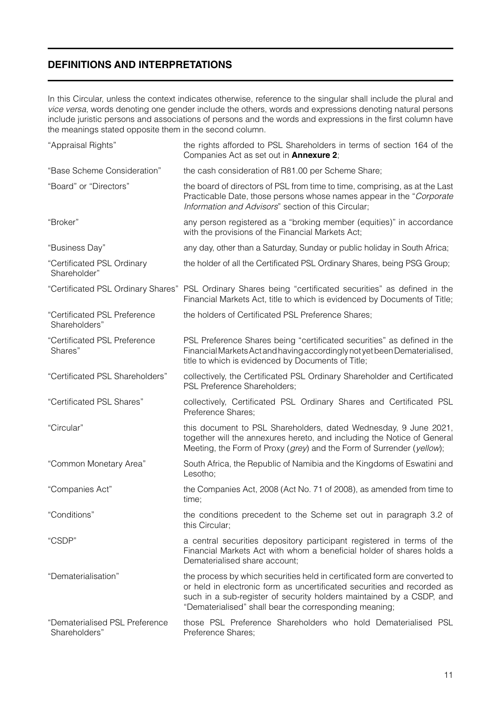# **DEFINITIONS AND INTERPRETATIONS**

In this Circular, unless the context indicates otherwise, reference to the singular shall include the plural and *vice versa*, words denoting one gender include the others, words and expressions denoting natural persons include juristic persons and associations of persons and the words and expressions in the first column have the meanings stated opposite them in the second column.

| "Appraisal Rights"                              | the rights afforded to PSL Shareholders in terms of section 164 of the<br>Companies Act as set out in <b>Annexure 2</b> ;                                                                                                                                                               |
|-------------------------------------------------|-----------------------------------------------------------------------------------------------------------------------------------------------------------------------------------------------------------------------------------------------------------------------------------------|
| "Base Scheme Consideration"                     | the cash consideration of R81.00 per Scheme Share;                                                                                                                                                                                                                                      |
| "Board" or "Directors"                          | the board of directors of PSL from time to time, comprising, as at the Last<br>Practicable Date, those persons whose names appear in the "Corporate"<br>Information and Advisors" section of this Circular;                                                                             |
| "Broker"                                        | any person registered as a "broking member (equities)" in accordance<br>with the provisions of the Financial Markets Act;                                                                                                                                                               |
| "Business Day"                                  | any day, other than a Saturday, Sunday or public holiday in South Africa;                                                                                                                                                                                                               |
| "Certificated PSL Ordinary<br>Shareholder"      | the holder of all the Certificated PSL Ordinary Shares, being PSG Group;                                                                                                                                                                                                                |
|                                                 | "Certificated PSL Ordinary Shares" PSL Ordinary Shares being "certificated securities" as defined in the<br>Financial Markets Act, title to which is evidenced by Documents of Title;                                                                                                   |
| "Certificated PSL Preference<br>Shareholders"   | the holders of Certificated PSL Preference Shares;                                                                                                                                                                                                                                      |
| "Certificated PSL Preference<br>Shares"         | PSL Preference Shares being "certificated securities" as defined in the<br>Financial Markets Act and having accordingly not yet been Dematerialised,<br>title to which is evidenced by Documents of Title;                                                                              |
| "Certificated PSL Shareholders"                 | collectively, the Certificated PSL Ordinary Shareholder and Certificated<br>PSL Preference Shareholders;                                                                                                                                                                                |
| "Certificated PSL Shares"                       | collectively, Certificated PSL Ordinary Shares and Certificated PSL<br>Preference Shares;                                                                                                                                                                                               |
| "Circular"                                      | this document to PSL Shareholders, dated Wednesday, 9 June 2021,<br>together will the annexures hereto, and including the Notice of General<br>Meeting, the Form of Proxy (grey) and the Form of Surrender (yellow);                                                                    |
| "Common Monetary Area"                          | South Africa, the Republic of Namibia and the Kingdoms of Eswatini and<br>Lesotho;                                                                                                                                                                                                      |
| "Companies Act"                                 | the Companies Act, 2008 (Act No. 71 of 2008), as amended from time to<br>time;                                                                                                                                                                                                          |
| "Conditions"                                    | the conditions precedent to the Scheme set out in paragraph 3.2 of<br>this Circular;                                                                                                                                                                                                    |
| "CSDP"                                          | a central securities depository participant registered in terms of the<br>Financial Markets Act with whom a beneficial holder of shares holds a<br>Dematerialised share account;                                                                                                        |
| "Dematerialisation"                             | the process by which securities held in certificated form are converted to<br>or held in electronic form as uncertificated securities and recorded as<br>such in a sub-register of security holders maintained by a CSDP, and<br>"Dematerialised" shall bear the corresponding meaning; |
| "Dematerialised PSL Preference<br>Shareholders" | those PSL Preference Shareholders who hold Dematerialised PSL<br>Preference Shares;                                                                                                                                                                                                     |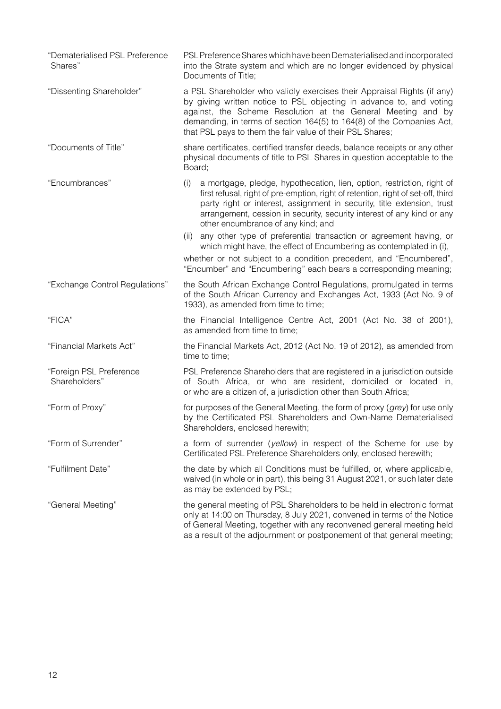| "Dematerialised PSL Preference<br>Shares" | PSL Preference Shares which have been Dematerialised and incorporated<br>into the Strate system and which are no longer evidenced by physical<br>Documents of Title;                                                                                                                                                                                         |
|-------------------------------------------|--------------------------------------------------------------------------------------------------------------------------------------------------------------------------------------------------------------------------------------------------------------------------------------------------------------------------------------------------------------|
| "Dissenting Shareholder"                  | a PSL Shareholder who validly exercises their Appraisal Rights (if any)<br>by giving written notice to PSL objecting in advance to, and voting<br>against, the Scheme Resolution at the General Meeting and by<br>demanding, in terms of section 164(5) to 164(8) of the Companies Act,<br>that PSL pays to them the fair value of their PSL Shares;         |
| "Documents of Title"                      | share certificates, certified transfer deeds, balance receipts or any other<br>physical documents of title to PSL Shares in question acceptable to the<br>Board;                                                                                                                                                                                             |
| "Encumbrances"                            | a mortgage, pledge, hypothecation, lien, option, restriction, right of<br>(i)<br>first refusal, right of pre-emption, right of retention, right of set-off, third<br>party right or interest, assignment in security, title extension, trust<br>arrangement, cession in security, security interest of any kind or any<br>other encumbrance of any kind; and |
|                                           | any other type of preferential transaction or agreement having, or<br>(ii)<br>which might have, the effect of Encumbering as contemplated in (i),                                                                                                                                                                                                            |
|                                           | whether or not subject to a condition precedent, and "Encumbered",<br>"Encumber" and "Encumbering" each bears a corresponding meaning;                                                                                                                                                                                                                       |
| "Exchange Control Regulations"            | the South African Exchange Control Regulations, promulgated in terms<br>of the South African Currency and Exchanges Act, 1933 (Act No. 9 of<br>1933), as amended from time to time;                                                                                                                                                                          |
| "FICA"                                    | the Financial Intelligence Centre Act, 2001 (Act No. 38 of 2001),<br>as amended from time to time;                                                                                                                                                                                                                                                           |
| "Financial Markets Act"                   | the Financial Markets Act, 2012 (Act No. 19 of 2012), as amended from<br>time to time;                                                                                                                                                                                                                                                                       |
| "Foreign PSL Preference<br>Shareholders"  | PSL Preference Shareholders that are registered in a jurisdiction outside<br>of South Africa, or who are resident, domiciled or located in,<br>or who are a citizen of, a jurisdiction other than South Africa;                                                                                                                                              |
| "Form of Proxy"                           | for purposes of the General Meeting, the form of proxy (grey) for use only<br>by the Certificated PSL Shareholders and Own-Name Dematerialised<br>Shareholders, enclosed herewith;                                                                                                                                                                           |
| "Form of Surrender"                       | a form of surrender (yellow) in respect of the Scheme for use by<br>Certificated PSL Preference Shareholders only, enclosed herewith;                                                                                                                                                                                                                        |
| "Fulfilment Date"                         | the date by which all Conditions must be fulfilled, or, where applicable,<br>waived (in whole or in part), this being 31 August 2021, or such later date<br>as may be extended by PSL;                                                                                                                                                                       |
| "General Meeting"                         | the general meeting of PSL Shareholders to be held in electronic format<br>only at 14:00 on Thursday, 8 July 2021, convened in terms of the Notice<br>of General Meeting, together with any reconvened general meeting held<br>as a result of the adjournment or postponement of that general meeting;                                                       |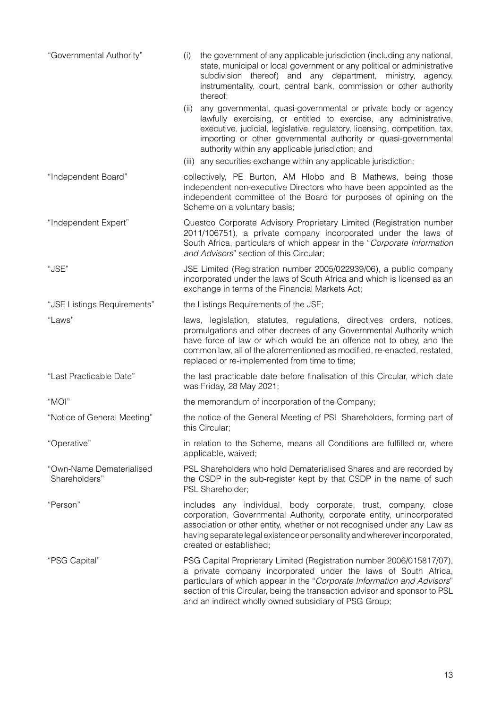| "Governmental Authority"                  | the government of any applicable jurisdiction (including any national,<br>(i)<br>state, municipal or local government or any political or administrative<br>subdivision thereof) and any department, ministry, agency,<br>instrumentality, court, central bank, commission or other authority<br>thereof;                                                 |
|-------------------------------------------|-----------------------------------------------------------------------------------------------------------------------------------------------------------------------------------------------------------------------------------------------------------------------------------------------------------------------------------------------------------|
|                                           | any governmental, quasi-governmental or private body or agency<br>(ii)<br>lawfully exercising, or entitled to exercise, any administrative,<br>executive, judicial, legislative, regulatory, licensing, competition, tax,<br>importing or other governmental authority or quasi-governmental<br>authority within any applicable jurisdiction; and         |
|                                           | (iii) any securities exchange within any applicable jurisdiction;                                                                                                                                                                                                                                                                                         |
| "Independent Board"                       | collectively, PE Burton, AM Hlobo and B Mathews, being those<br>independent non-executive Directors who have been appointed as the<br>independent committee of the Board for purposes of opining on the<br>Scheme on a voluntary basis;                                                                                                                   |
| "Independent Expert"                      | Questco Corporate Advisory Proprietary Limited (Registration number<br>2011/106751), a private company incorporated under the laws of<br>South Africa, particulars of which appear in the "Corporate Information<br>and Advisors" section of this Circular;                                                                                               |
| "JSE"                                     | JSE Limited (Registration number 2005/022939/06), a public company<br>incorporated under the laws of South Africa and which is licensed as an<br>exchange in terms of the Financial Markets Act;                                                                                                                                                          |
| "JSE Listings Requirements"               | the Listings Requirements of the JSE;                                                                                                                                                                                                                                                                                                                     |
| "Laws"                                    | laws, legislation, statutes, regulations, directives orders, notices,<br>promulgations and other decrees of any Governmental Authority which<br>have force of law or which would be an offence not to obey, and the<br>common law, all of the aforementioned as modified, re-enacted, restated,<br>replaced or re-implemented from time to time;          |
| "Last Practicable Date"                   | the last practicable date before finalisation of this Circular, which date<br>was Friday, 28 May 2021;                                                                                                                                                                                                                                                    |
| "MOI"                                     | the memorandum of incorporation of the Company;                                                                                                                                                                                                                                                                                                           |
| "Notice of General Meeting"               | the notice of the General Meeting of PSL Shareholders, forming part of<br>this Circular;                                                                                                                                                                                                                                                                  |
| "Operative"                               | in relation to the Scheme, means all Conditions are fulfilled or, where<br>applicable, waived;                                                                                                                                                                                                                                                            |
| "Own-Name Dematerialised<br>Shareholders" | PSL Shareholders who hold Dematerialised Shares and are recorded by<br>the CSDP in the sub-register kept by that CSDP in the name of such<br>PSL Shareholder;                                                                                                                                                                                             |
| "Person"                                  | includes any individual, body corporate, trust, company, close<br>corporation, Governmental Authority, corporate entity, unincorporated<br>association or other entity, whether or not recognised under any Law as<br>having separate legal existence or personality and wherever incorporated,<br>created or established;                                |
| "PSG Capital"                             | PSG Capital Proprietary Limited (Registration number 2006/015817/07),<br>a private company incorporated under the laws of South Africa,<br>particulars of which appear in the "Corporate Information and Advisors"<br>section of this Circular, being the transaction advisor and sponsor to PSL<br>and an indirect wholly owned subsidiary of PSG Group; |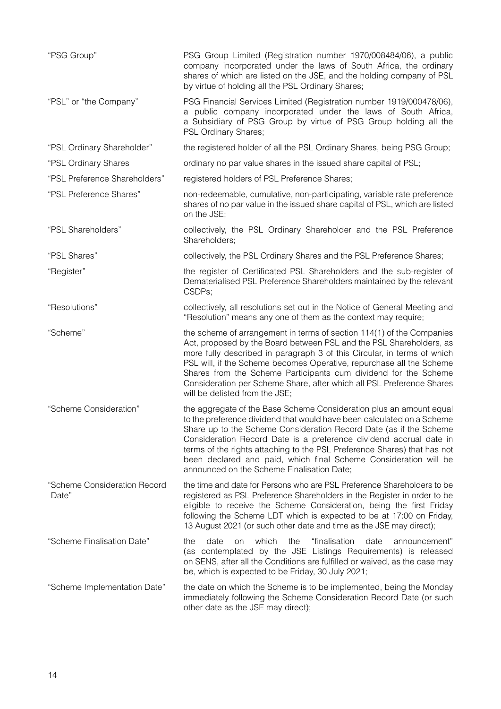| "PSG Group"                           | PSG Group Limited (Registration number 1970/008484/06), a public<br>company incorporated under the laws of South Africa, the ordinary<br>shares of which are listed on the JSE, and the holding company of PSL<br>by virtue of holding all the PSL Ordinary Shares;                                                                                                                                                                                                                     |
|---------------------------------------|-----------------------------------------------------------------------------------------------------------------------------------------------------------------------------------------------------------------------------------------------------------------------------------------------------------------------------------------------------------------------------------------------------------------------------------------------------------------------------------------|
| "PSL" or "the Company"                | PSG Financial Services Limited (Registration number 1919/000478/06),<br>a public company incorporated under the laws of South Africa,<br>a Subsidiary of PSG Group by virtue of PSG Group holding all the<br>PSL Ordinary Shares;                                                                                                                                                                                                                                                       |
| "PSL Ordinary Shareholder"            | the registered holder of all the PSL Ordinary Shares, being PSG Group;                                                                                                                                                                                                                                                                                                                                                                                                                  |
| "PSL Ordinary Shares                  | ordinary no par value shares in the issued share capital of PSL;                                                                                                                                                                                                                                                                                                                                                                                                                        |
| "PSL Preference Shareholders"         | registered holders of PSL Preference Shares;                                                                                                                                                                                                                                                                                                                                                                                                                                            |
| "PSL Preference Shares"               | non-redeemable, cumulative, non-participating, variable rate preference<br>shares of no par value in the issued share capital of PSL, which are listed<br>on the JSE;                                                                                                                                                                                                                                                                                                                   |
| "PSL Shareholders"                    | collectively, the PSL Ordinary Shareholder and the PSL Preference<br>Shareholders;                                                                                                                                                                                                                                                                                                                                                                                                      |
| "PSL Shares"                          | collectively, the PSL Ordinary Shares and the PSL Preference Shares;                                                                                                                                                                                                                                                                                                                                                                                                                    |
| "Register"                            | the register of Certificated PSL Shareholders and the sub-register of<br>Dematerialised PSL Preference Shareholders maintained by the relevant<br>CSDPs;                                                                                                                                                                                                                                                                                                                                |
| "Resolutions"                         | collectively, all resolutions set out in the Notice of General Meeting and<br>"Resolution" means any one of them as the context may require;                                                                                                                                                                                                                                                                                                                                            |
| "Scheme"                              | the scheme of arrangement in terms of section 114(1) of the Companies<br>Act, proposed by the Board between PSL and the PSL Shareholders, as<br>more fully described in paragraph 3 of this Circular, in terms of which<br>PSL will, if the Scheme becomes Operative, repurchase all the Scheme<br>Shares from the Scheme Participants cum dividend for the Scheme<br>Consideration per Scheme Share, after which all PSL Preference Shares<br>will be delisted from the JSE;           |
| "Scheme Consideration"                | the aggregate of the Base Scheme Consideration plus an amount equal<br>to the preference dividend that would have been calculated on a Scheme<br>Share up to the Scheme Consideration Record Date (as if the Scheme<br>Consideration Record Date is a preference dividend accrual date in<br>terms of the rights attaching to the PSL Preference Shares) that has not<br>been declared and paid, which final Scheme Consideration will be<br>announced on the Scheme Finalisation Date; |
| "Scheme Consideration Record<br>Date" | the time and date for Persons who are PSL Preference Shareholders to be<br>registered as PSL Preference Shareholders in the Register in order to be<br>eligible to receive the Scheme Consideration, being the first Friday<br>following the Scheme LDT which is expected to be at 17:00 on Friday,<br>13 August 2021 (or such other date and time as the JSE may direct);                                                                                                              |
| "Scheme Finalisation Date"            | which<br>"finalisation<br>date<br>the<br>date<br>the<br>announcement"<br>on<br>(as contemplated by the JSE Listings Requirements) is released<br>on SENS, after all the Conditions are fulfilled or waived, as the case may<br>be, which is expected to be Friday, 30 July 2021;                                                                                                                                                                                                        |
| "Scheme Implementation Date"          | the date on which the Scheme is to be implemented, being the Monday<br>immediately following the Scheme Consideration Record Date (or such<br>other date as the JSE may direct);                                                                                                                                                                                                                                                                                                        |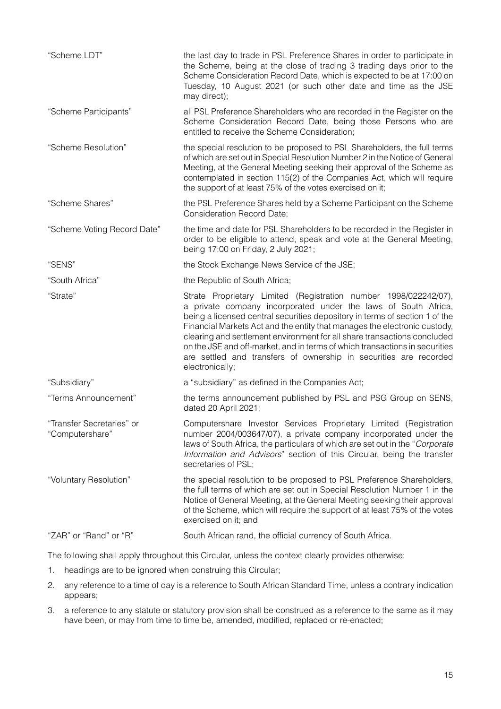| "Scheme LDT"                                 | the last day to trade in PSL Preference Shares in order to participate in<br>the Scheme, being at the close of trading 3 trading days prior to the<br>Scheme Consideration Record Date, which is expected to be at 17:00 on<br>Tuesday, 10 August 2021 (or such other date and time as the JSE<br>may direct);                                                                                                                                                                                                                                    |
|----------------------------------------------|---------------------------------------------------------------------------------------------------------------------------------------------------------------------------------------------------------------------------------------------------------------------------------------------------------------------------------------------------------------------------------------------------------------------------------------------------------------------------------------------------------------------------------------------------|
| "Scheme Participants"                        | all PSL Preference Shareholders who are recorded in the Register on the<br>Scheme Consideration Record Date, being those Persons who are<br>entitled to receive the Scheme Consideration;                                                                                                                                                                                                                                                                                                                                                         |
| "Scheme Resolution"                          | the special resolution to be proposed to PSL Shareholders, the full terms<br>of which are set out in Special Resolution Number 2 in the Notice of General<br>Meeting, at the General Meeting seeking their approval of the Scheme as<br>contemplated in section 115(2) of the Companies Act, which will require<br>the support of at least 75% of the votes exercised on it;                                                                                                                                                                      |
| "Scheme Shares"                              | the PSL Preference Shares held by a Scheme Participant on the Scheme<br><b>Consideration Record Date;</b>                                                                                                                                                                                                                                                                                                                                                                                                                                         |
| "Scheme Voting Record Date"                  | the time and date for PSL Shareholders to be recorded in the Register in<br>order to be eligible to attend, speak and vote at the General Meeting,<br>being 17:00 on Friday, 2 July 2021;                                                                                                                                                                                                                                                                                                                                                         |
| "SENS"                                       | the Stock Exchange News Service of the JSE;                                                                                                                                                                                                                                                                                                                                                                                                                                                                                                       |
| "South Africa"                               | the Republic of South Africa;                                                                                                                                                                                                                                                                                                                                                                                                                                                                                                                     |
| "Strate"                                     | Strate Proprietary Limited (Registration number 1998/022242/07),<br>a private company incorporated under the laws of South Africa,<br>being a licensed central securities depository in terms of section 1 of the<br>Financial Markets Act and the entity that manages the electronic custody,<br>clearing and settlement environment for all share transactions concluded<br>on the JSE and off-market, and in terms of which transactions in securities<br>are settled and transfers of ownership in securities are recorded<br>electronically; |
| "Subsidiary"                                 | a "subsidiary" as defined in the Companies Act;                                                                                                                                                                                                                                                                                                                                                                                                                                                                                                   |
| "Terms Announcement"                         | the terms announcement published by PSL and PSG Group on SENS,<br>dated 20 April 2021;                                                                                                                                                                                                                                                                                                                                                                                                                                                            |
| "Transfer Secretaries" or<br>"Computershare" | Computershare Investor Services Proprietary Limited (Registration<br>number 2004/003647/07), a private company incorporated under the<br>laws of South Africa, the particulars of which are set out in the "Corporate"<br>Information and Advisors" section of this Circular, being the transfer<br>secretaries of PSL;                                                                                                                                                                                                                           |
| "Voluntary Resolution"                       | the special resolution to be proposed to PSL Preference Shareholders,<br>the full terms of which are set out in Special Resolution Number 1 in the<br>Notice of General Meeting, at the General Meeting seeking their approval<br>of the Scheme, which will require the support of at least 75% of the votes<br>exercised on it; and                                                                                                                                                                                                              |
| "ZAR" or "Rand" or "R"                       | South African rand, the official currency of South Africa.                                                                                                                                                                                                                                                                                                                                                                                                                                                                                        |

The following shall apply throughout this Circular, unless the context clearly provides otherwise:

- 1. headings are to be ignored when construing this Circular;
- 2. any reference to a time of day is a reference to South African Standard Time, unless a contrary indication appears;
- 3. a reference to any statute or statutory provision shall be construed as a reference to the same as it may have been, or may from time to time be, amended, modified, replaced or re-enacted;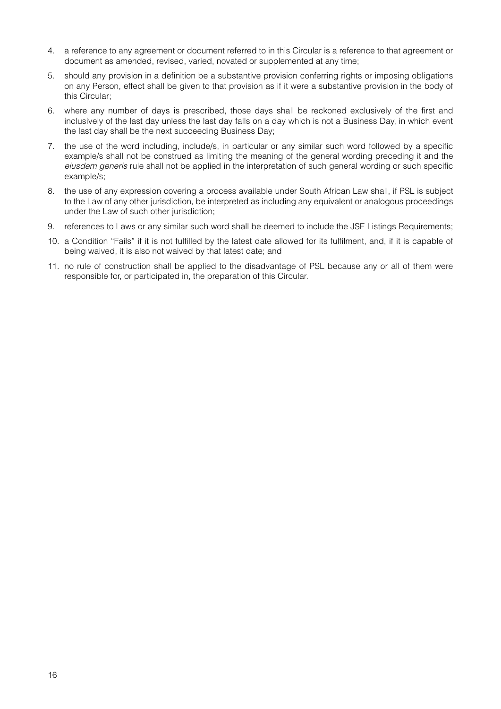- 4. a reference to any agreement or document referred to in this Circular is a reference to that agreement or document as amended, revised, varied, novated or supplemented at any time;
- 5. should any provision in a definition be a substantive provision conferring rights or imposing obligations on any Person, effect shall be given to that provision as if it were a substantive provision in the body of this Circular;
- 6. where any number of days is prescribed, those days shall be reckoned exclusively of the first and inclusively of the last day unless the last day falls on a day which is not a Business Day, in which event the last day shall be the next succeeding Business Day;
- 7. the use of the word including, include/s, in particular or any similar such word followed by a specific example/s shall not be construed as limiting the meaning of the general wording preceding it and the *eiusdem generis* rule shall not be applied in the interpretation of such general wording or such specific example/s;
- 8. the use of any expression covering a process available under South African Law shall, if PSL is subject to the Law of any other jurisdiction, be interpreted as including any equivalent or analogous proceedings under the Law of such other jurisdiction;
- 9. references to Laws or any similar such word shall be deemed to include the JSE Listings Requirements;
- 10. a Condition "Fails" if it is not fulfilled by the latest date allowed for its fulfilment, and, if it is capable of being waived, it is also not waived by that latest date; and
- 11. no rule of construction shall be applied to the disadvantage of PSL because any or all of them were responsible for, or participated in, the preparation of this Circular.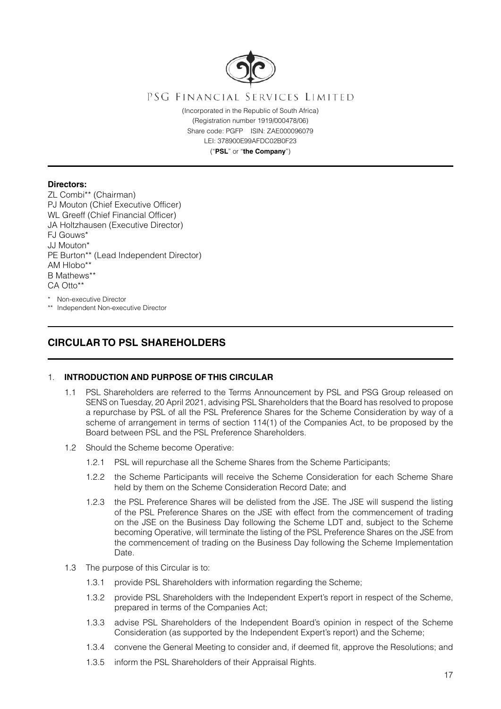

# PSG FINANCIAL SERVICES LIMITED

(Incorporated in the Republic of South Africa) (Registration number 1919/000478/06) Share code: PGFP ISIN: ZAE000096079 LEI: 378900E99AFDC02B0F23 ("**PSL**" or "**the Company**")

## **Directors:**

ZL Combi\*\* (Chairman) PJ Mouton (Chief Executive Officer) WL Greeff (Chief Financial Officer) JA Holtzhausen (Executive Director) FJ Gouws\* JJ Mouton\* PE Burton\*\* (Lead Independent Director) AM Hlobo<sup>\*</sup> B Mathews\*\* CA Otto\*\*

\* Non-executive Director \*\* Independent Non-executive Director

# **CIRCULAR TO PSL SHAREHOLDERS**

# 1. **INTRODUCTION AND PURPOSE OF THIS CIRCULAR**

- 1.1 PSL Shareholders are referred to the Terms Announcement by PSL and PSG Group released on SENS on Tuesday, 20 April 2021, advising PSL Shareholders that the Board has resolved to propose a repurchase by PSL of all the PSL Preference Shares for the Scheme Consideration by way of a scheme of arrangement in terms of section 114(1) of the Companies Act, to be proposed by the Board between PSL and the PSL Preference Shareholders.
- 1.2 Should the Scheme become Operative:
	- 1.2.1 PSL will repurchase all the Scheme Shares from the Scheme Participants;
	- 1.2.2 the Scheme Participants will receive the Scheme Consideration for each Scheme Share held by them on the Scheme Consideration Record Date; and
	- 1.2.3 the PSL Preference Shares will be delisted from the JSE. The JSE will suspend the listing of the PSL Preference Shares on the JSE with effect from the commencement of trading on the JSE on the Business Day following the Scheme LDT and, subject to the Scheme becoming Operative, will terminate the listing of the PSL Preference Shares on the JSE from the commencement of trading on the Business Day following the Scheme Implementation Date.
- 1.3 The purpose of this Circular is to:
	- 1.3.1 provide PSL Shareholders with information regarding the Scheme;
	- 1.3.2 provide PSL Shareholders with the Independent Expert's report in respect of the Scheme, prepared in terms of the Companies Act;
	- 1.3.3 advise PSL Shareholders of the Independent Board's opinion in respect of the Scheme Consideration (as supported by the Independent Expert's report) and the Scheme;
	- 1.3.4 convene the General Meeting to consider and, if deemed fit, approve the Resolutions; and
	- 1.3.5 inform the PSL Shareholders of their Appraisal Rights.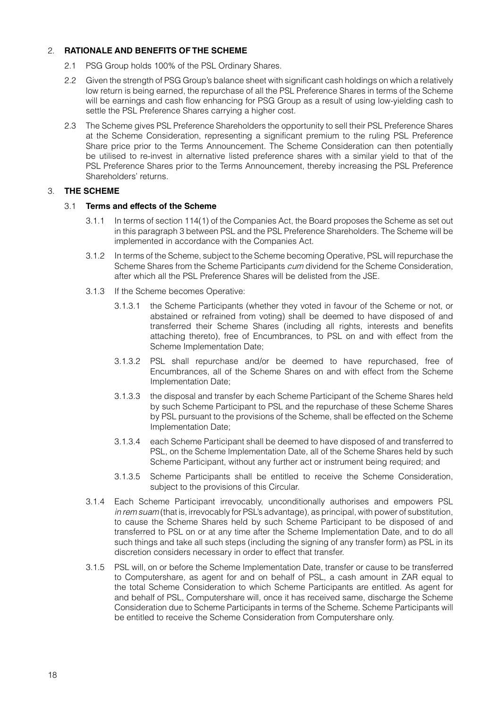# 2. **RATIONALE AND BENEFITS OF THE SCHEME**

- 2.1 PSG Group holds 100% of the PSL Ordinary Shares.
- 2.2 Given the strength of PSG Group's balance sheet with significant cash holdings on which a relatively low return is being earned, the repurchase of all the PSL Preference Shares in terms of the Scheme will be earnings and cash flow enhancing for PSG Group as a result of using low-yielding cash to settle the PSL Preference Shares carrying a higher cost.
- 2.3 The Scheme gives PSL Preference Shareholders the opportunity to sell their PSL Preference Shares at the Scheme Consideration, representing a significant premium to the ruling PSL Preference Share price prior to the Terms Announcement. The Scheme Consideration can then potentially be utilised to re-invest in alternative listed preference shares with a similar yield to that of the PSL Preference Shares prior to the Terms Announcement, thereby increasing the PSL Preference Shareholders' returns.

# 3. **THE SCHEME**

# 3.1 **Terms and effects of the Scheme**

- 3.1.1 In terms of section 114(1) of the Companies Act, the Board proposes the Scheme as set out in this paragraph 3 between PSL and the PSL Preference Shareholders. The Scheme will be implemented in accordance with the Companies Act.
- 3.1.2 In terms of the Scheme, subject to the Scheme becoming Operative, PSL will repurchase the Scheme Shares from the Scheme Participants *cum* dividend for the Scheme Consideration, after which all the PSL Preference Shares will be delisted from the JSE.
- 3.1.3 If the Scheme becomes Operative:
	- 3.1.3.1 the Scheme Participants (whether they voted in favour of the Scheme or not, or abstained or refrained from voting) shall be deemed to have disposed of and transferred their Scheme Shares (including all rights, interests and benefits attaching thereto), free of Encumbrances, to PSL on and with effect from the Scheme Implementation Date;
	- 3.1.3.2 PSL shall repurchase and/or be deemed to have repurchased, free of Encumbrances, all of the Scheme Shares on and with effect from the Scheme Implementation Date;
	- 3.1.3.3 the disposal and transfer by each Scheme Participant of the Scheme Shares held by such Scheme Participant to PSL and the repurchase of these Scheme Shares by PSL pursuant to the provisions of the Scheme, shall be effected on the Scheme Implementation Date;
	- 3.1.3.4 each Scheme Participant shall be deemed to have disposed of and transferred to PSL, on the Scheme Implementation Date, all of the Scheme Shares held by such Scheme Participant, without any further act or instrument being required; and
	- 3.1.3.5 Scheme Participants shall be entitled to receive the Scheme Consideration, subject to the provisions of this Circular.
- 3.1.4 Each Scheme Participant irrevocably, unconditionally authorises and empowers PSL *in rem suam* (that is, irrevocably for PSL's advantage), as principal, with power of substitution, to cause the Scheme Shares held by such Scheme Participant to be disposed of and transferred to PSL on or at any time after the Scheme Implementation Date, and to do all such things and take all such steps (including the signing of any transfer form) as PSL in its discretion considers necessary in order to effect that transfer.
- 3.1.5 PSL will, on or before the Scheme Implementation Date, transfer or cause to be transferred to Computershare, as agent for and on behalf of PSL, a cash amount in ZAR equal to the total Scheme Consideration to which Scheme Participants are entitled. As agent for and behalf of PSL, Computershare will, once it has received same, discharge the Scheme Consideration due to Scheme Participants in terms of the Scheme. Scheme Participants will be entitled to receive the Scheme Consideration from Computershare only.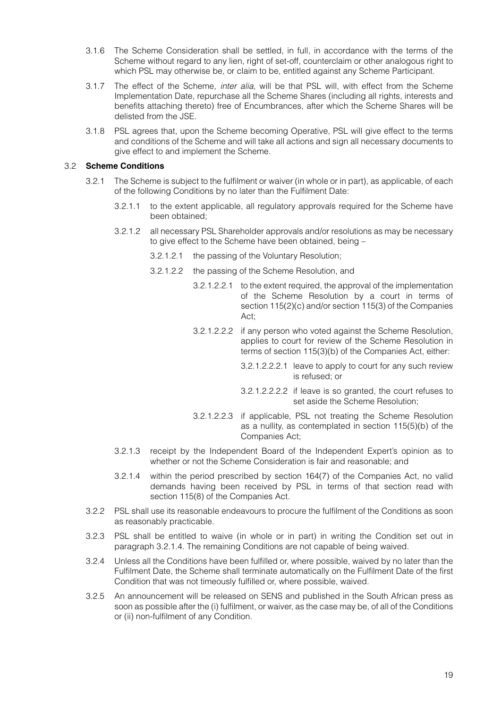- 3.1.6 The Scheme Consideration shall be settled, in full, in accordance with the terms of the Scheme without regard to any lien, right of set-off, counterclaim or other analogous right to which PSL may otherwise be, or claim to be, entitled against any Scheme Participant.
- 3.1.7 The effect of the Scheme, *inter alia*, will be that PSL will, with effect from the Scheme Implementation Date, repurchase all the Scheme Shares (including all rights, interests and benefits attaching thereto) free of Encumbrances, after which the Scheme Shares will be delisted from the JSE.
- 3.1.8 PSL agrees that, upon the Scheme becoming Operative, PSL will give effect to the terms and conditions of the Scheme and will take all actions and sign all necessary documents to give effect to and implement the Scheme.

# 3.2 **Scheme Conditions**

- 3.2.1 The Scheme is subject to the fulfilment or waiver (in whole or in part), as applicable, of each of the following Conditions by no later than the Fulfilment Date:
	- 3.2.1.1 to the extent applicable, all regulatory approvals required for the Scheme have been obtained;
	- 3.2.1.2 all necessary PSL Shareholder approvals and/or resolutions as may be necessary to give effect to the Scheme have been obtained, being –
		- 3.2.1.2.1 the passing of the Voluntary Resolution;
		- 3.2.1.2.2 the passing of the Scheme Resolution, and
			- 3.2.1.2.2.1 to the extent required, the approval of the implementation of the Scheme Resolution by a court in terms of section 115(2)(c) and/or section 115(3) of the Companies Act;
			- 3.2.1.2.2.2 if any person who voted against the Scheme Resolution, applies to court for review of the Scheme Resolution in terms of section 115(3)(b) of the Companies Act, either:
				- 3.2.1.2.2.2.1 leave to apply to court for any such review is refused; or
				- 3.2.1.2.2.2.2 if leave is so granted, the court refuses to set aside the Scheme Resolution;
			- 3.2.1.2.2.3 if applicable, PSL not treating the Scheme Resolution as a nullity, as contemplated in section 115(5)(b) of the Companies Act;
	- 3.2.1.3 receipt by the Independent Board of the Independent Expert's opinion as to whether or not the Scheme Consideration is fair and reasonable; and
	- 3.2.1.4 within the period prescribed by section 164(7) of the Companies Act, no valid demands having been received by PSL in terms of that section read with section 115(8) of the Companies Act.
- 3.2.2 PSL shall use its reasonable endeavours to procure the fulfilment of the Conditions as soon as reasonably practicable.
- 3.2.3 PSL shall be entitled to waive (in whole or in part) in writing the Condition set out in paragraph 3.2.1.4. The remaining Conditions are not capable of being waived.
- 3.2.4 Unless all the Conditions have been fulfilled or, where possible, waived by no later than the Fulfilment Date, the Scheme shall terminate automatically on the Fulfilment Date of the first Condition that was not timeously fulfilled or, where possible, waived.
- 3.2.5 An announcement will be released on SENS and published in the South African press as soon as possible after the (i) fulfilment, or waiver, as the case may be, of all of the Conditions or (ii) non-fulfilment of any Condition.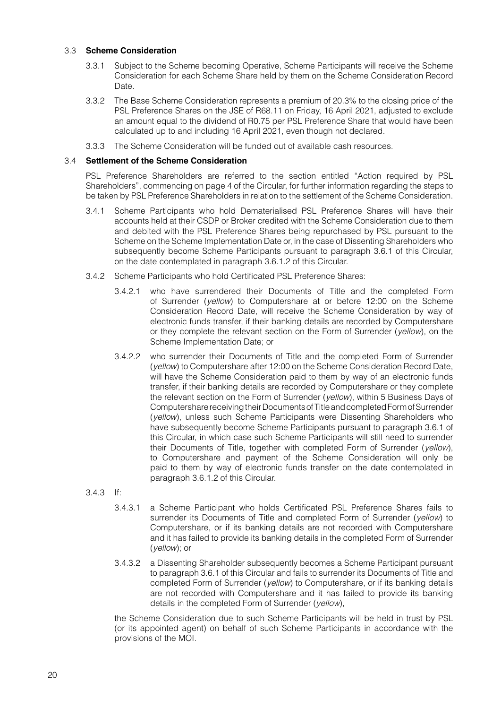# 3.3 **Scheme Consideration**

- 3.3.1 Subject to the Scheme becoming Operative, Scheme Participants will receive the Scheme Consideration for each Scheme Share held by them on the Scheme Consideration Record Date.
- 3.3.2 The Base Scheme Consideration represents a premium of 20.3% to the closing price of the PSL Preference Shares on the JSE of R68.11 on Friday, 16 April 2021, adjusted to exclude an amount equal to the dividend of R0.75 per PSL Preference Share that would have been calculated up to and including 16 April 2021, even though not declared.
- 3.3.3 The Scheme Consideration will be funded out of available cash resources.

## 3.4 **Settlement of the Scheme Consideration**

PSL Preference Shareholders are referred to the section entitled "Action required by PSL Shareholders", commencing on page 4 of the Circular, for further information regarding the steps to be taken by PSL Preference Shareholders in relation to the settlement of the Scheme Consideration.

- 3.4.1 Scheme Participants who hold Dematerialised PSL Preference Shares will have their accounts held at their CSDP or Broker credited with the Scheme Consideration due to them and debited with the PSL Preference Shares being repurchased by PSL pursuant to the Scheme on the Scheme Implementation Date or, in the case of Dissenting Shareholders who subsequently become Scheme Participants pursuant to paragraph 3.6.1 of this Circular, on the date contemplated in paragraph 3.6.1.2 of this Circular.
- 3.4.2 Scheme Participants who hold Certificated PSL Preference Shares:
	- 3.4.2.1 who have surrendered their Documents of Title and the completed Form of Surrender (*yellow*) to Computershare at or before 12:00 on the Scheme Consideration Record Date, will receive the Scheme Consideration by way of electronic funds transfer, if their banking details are recorded by Computershare or they complete the relevant section on the Form of Surrender (*yellow*), on the Scheme Implementation Date; or
	- 3.4.2.2 who surrender their Documents of Title and the completed Form of Surrender (*yellow*) to Computershare after 12:00 on the Scheme Consideration Record Date, will have the Scheme Consideration paid to them by way of an electronic funds transfer, if their banking details are recorded by Computershare or they complete the relevant section on the Form of Surrender (*yellow*), within 5 Business Days of Computershare receiving their Documents of Title and completed Form of Surrender (*yellow*), unless such Scheme Participants were Dissenting Shareholders who have subsequently become Scheme Participants pursuant to paragraph 3.6.1 of this Circular, in which case such Scheme Participants will still need to surrender their Documents of Title, together with completed Form of Surrender (*yellow*), to Computershare and payment of the Scheme Consideration will only be paid to them by way of electronic funds transfer on the date contemplated in paragraph 3.6.1.2 of this Circular.

### 3.4.3 If:

- 3.4.3.1 a Scheme Participant who holds Certificated PSL Preference Shares fails to surrender its Documents of Title and completed Form of Surrender (*yellow*) to Computershare, or if its banking details are not recorded with Computershare and it has failed to provide its banking details in the completed Form of Surrender (*yellow*); or
- 3.4.3.2 a Dissenting Shareholder subsequently becomes a Scheme Participant pursuant to paragraph 3.6.1 of this Circular and fails to surrender its Documents of Title and completed Form of Surrender (*yellow*) to Computershare, or if its banking details are not recorded with Computershare and it has failed to provide its banking details in the completed Form of Surrender (*yellow*),

the Scheme Consideration due to such Scheme Participants will be held in trust by PSL (or its appointed agent) on behalf of such Scheme Participants in accordance with the provisions of the MOI.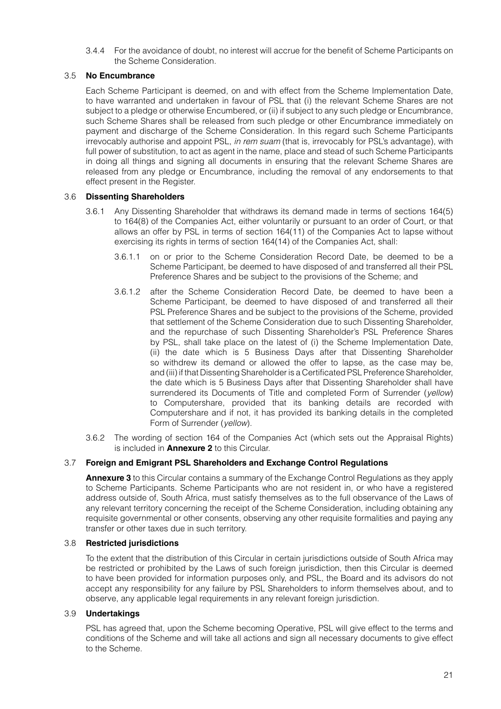3.4.4 For the avoidance of doubt, no interest will accrue for the benefit of Scheme Participants on the Scheme Consideration.

# 3.5 **No Encumbrance**

Each Scheme Participant is deemed, on and with effect from the Scheme Implementation Date, to have warranted and undertaken in favour of PSL that (i) the relevant Scheme Shares are not subject to a pledge or otherwise Encumbered, or (ii) if subject to any such pledge or Encumbrance, such Scheme Shares shall be released from such pledge or other Encumbrance immediately on payment and discharge of the Scheme Consideration. In this regard such Scheme Participants irrevocably authorise and appoint PSL, *in rem suam* (that is, irrevocably for PSL's advantage), with full power of substitution, to act as agent in the name, place and stead of such Scheme Participants in doing all things and signing all documents in ensuring that the relevant Scheme Shares are released from any pledge or Encumbrance, including the removal of any endorsements to that effect present in the Register.

# 3.6 **Dissenting Shareholders**

- 3.6.1 Any Dissenting Shareholder that withdraws its demand made in terms of sections 164(5) to 164(8) of the Companies Act, either voluntarily or pursuant to an order of Court, or that allows an offer by PSL in terms of section 164(11) of the Companies Act to lapse without exercising its rights in terms of section 164(14) of the Companies Act, shall:
	- 3.6.1.1 on or prior to the Scheme Consideration Record Date, be deemed to be a Scheme Participant, be deemed to have disposed of and transferred all their PSL Preference Shares and be subject to the provisions of the Scheme; and
	- 3.6.1.2 after the Scheme Consideration Record Date, be deemed to have been a Scheme Participant, be deemed to have disposed of and transferred all their PSL Preference Shares and be subject to the provisions of the Scheme, provided that settlement of the Scheme Consideration due to such Dissenting Shareholder, and the repurchase of such Dissenting Shareholder's PSL Preference Shares by PSL, shall take place on the latest of (i) the Scheme Implementation Date, (ii) the date which is 5 Business Days after that Dissenting Shareholder so withdrew its demand or allowed the offer to lapse, as the case may be, and (iii) if that Dissenting Shareholder is a Certificated PSL Preference Shareholder, the date which is 5 Business Days after that Dissenting Shareholder shall have surrendered its Documents of Title and completed Form of Surrender (*yellow*) to Computershare, provided that its banking details are recorded with Computershare and if not, it has provided its banking details in the completed Form of Surrender (*yellow*).
- 3.6.2 The wording of section 164 of the Companies Act (which sets out the Appraisal Rights) is included in **Annexure 2** to this Circular.

# 3.7 **Foreign and Emigrant PSL Shareholders and Exchange Control Regulations**

**Annexure 3** to this Circular contains a summary of the Exchange Control Regulations as they apply to Scheme Participants. Scheme Participants who are not resident in, or who have a registered address outside of, South Africa, must satisfy themselves as to the full observance of the Laws of any relevant territory concerning the receipt of the Scheme Consideration, including obtaining any requisite governmental or other consents, observing any other requisite formalities and paying any transfer or other taxes due in such territory.

# 3.8 **Restricted jurisdictions**

To the extent that the distribution of this Circular in certain jurisdictions outside of South Africa may be restricted or prohibited by the Laws of such foreign jurisdiction, then this Circular is deemed to have been provided for information purposes only, and PSL, the Board and its advisors do not accept any responsibility for any failure by PSL Shareholders to inform themselves about, and to observe, any applicable legal requirements in any relevant foreign jurisdiction.

# 3.9 **Undertakings**

PSL has agreed that, upon the Scheme becoming Operative, PSL will give effect to the terms and conditions of the Scheme and will take all actions and sign all necessary documents to give effect to the Scheme.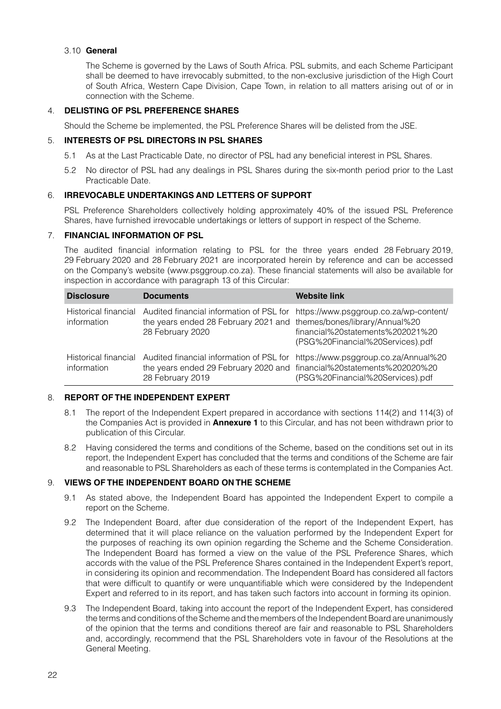# 3.10 **General**

The Scheme is governed by the Laws of South Africa. PSL submits, and each Scheme Participant shall be deemed to have irrevocably submitted, to the non-exclusive jurisdiction of the High Court of South Africa, Western Cape Division, Cape Town, in relation to all matters arising out of or in connection with the Scheme.

# 4. **DELISTING OF PSL PREFERENCE SHARES**

Should the Scheme be implemented, the PSL Preference Shares will be delisted from the JSE.

## 5. **INTERESTS OF PSL DIRECTORS IN PSL SHARES**

- 5.1 As at the Last Practicable Date, no director of PSL had any beneficial interest in PSL Shares.
- 5.2 No director of PSL had any dealings in PSL Shares during the six-month period prior to the Last Practicable Date.

## 6. **IRREVOCABLE UNDERTAKINGS AND LETTERS OF SUPPORT**

PSL Preference Shareholders collectively holding approximately 40% of the issued PSL Preference Shares, have furnished irrevocable undertakings or letters of support in respect of the Scheme.

# 7. **FINANCIAL INFORMATION OF PSL**

The audited financial information relating to PSL for the three years ended 28 February 2019, 29 February 2020 and 28 February 2021 are incorporated herein by reference and can be accessed on the Company's website (www.psggroup.co.za). These financial statements will also be available for inspection in accordance with paragraph 13 of this Circular:

| <b>Disclosure</b>                   | <b>Documents</b>                                                                                                                      | <b>Website link</b>                                                                                                                                     |
|-------------------------------------|---------------------------------------------------------------------------------------------------------------------------------------|---------------------------------------------------------------------------------------------------------------------------------------------------------|
| Historical financial<br>information | the years ended 28 February 2021 and themes/bones/library/Annual%20<br>28 February 2020                                               | Audited financial information of PSL for https://www.psggroup.co.za/wp-content/<br>financial%20statements%202021%20<br>(PSG%20Financial%20Services).pdf |
| Historical financial<br>information | Audited financial information of PSL for<br>the years ended 29 February 2020 and financial%20statements%202020%20<br>28 February 2019 | https://www.psggroup.co.za/Annual%20<br>(PSG%20Financial%20Services).pdf                                                                                |

# 8. **REPORT OF THE INDEPENDENT EXPERT**

- 8.1 The report of the Independent Expert prepared in accordance with sections 114(2) and 114(3) of the Companies Act is provided in **Annexure 1** to this Circular, and has not been withdrawn prior to publication of this Circular.
- 8.2 Having considered the terms and conditions of the Scheme, based on the conditions set out in its report, the Independent Expert has concluded that the terms and conditions of the Scheme are fair and reasonable to PSL Shareholders as each of these terms is contemplated in the Companies Act.

# 9. **VIEWS OF THE INDEPENDENT BOARD ON THE SCHEME**

- 9.1 As stated above, the Independent Board has appointed the Independent Expert to compile a report on the Scheme.
- 9.2 The Independent Board, after due consideration of the report of the Independent Expert, has determined that it will place reliance on the valuation performed by the Independent Expert for the purposes of reaching its own opinion regarding the Scheme and the Scheme Consideration. The Independent Board has formed a view on the value of the PSL Preference Shares, which accords with the value of the PSL Preference Shares contained in the Independent Expert's report, in considering its opinion and recommendation. The Independent Board has considered all factors that were difficult to quantify or were unquantifiable which were considered by the Independent Expert and referred to in its report, and has taken such factors into account in forming its opinion.
- 9.3 The Independent Board, taking into account the report of the Independent Expert, has considered the terms and conditions of the Scheme and the members of the Independent Board are unanimously of the opinion that the terms and conditions thereof are fair and reasonable to PSL Shareholders and, accordingly, recommend that the PSL Shareholders vote in favour of the Resolutions at the General Meeting.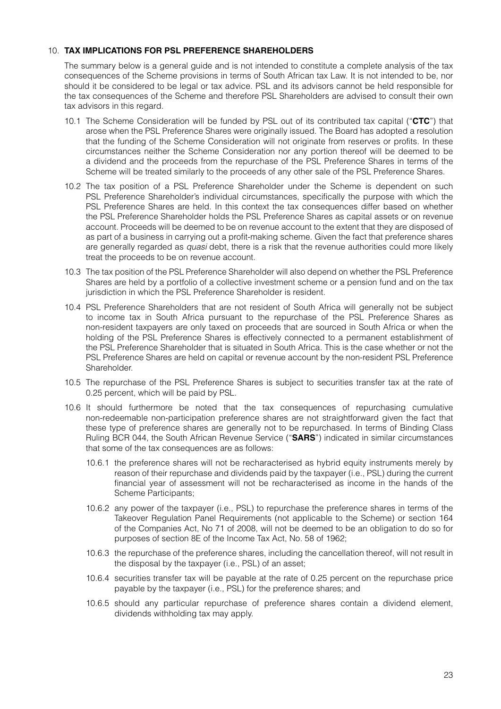# 10. **TAX IMPLICATIONS FOR PSL PREFERENCE SHAREHOLDERS**

The summary below is a general guide and is not intended to constitute a complete analysis of the tax consequences of the Scheme provisions in terms of South African tax Law. It is not intended to be, nor should it be considered to be legal or tax advice. PSL and its advisors cannot be held responsible for the tax consequences of the Scheme and therefore PSL Shareholders are advised to consult their own tax advisors in this regard.

- 10.1 The Scheme Consideration will be funded by PSL out of its contributed tax capital ("**CTC**") that arose when the PSL Preference Shares were originally issued. The Board has adopted a resolution that the funding of the Scheme Consideration will not originate from reserves or profits. In these circumstances neither the Scheme Consideration nor any portion thereof will be deemed to be a dividend and the proceeds from the repurchase of the PSL Preference Shares in terms of the Scheme will be treated similarly to the proceeds of any other sale of the PSL Preference Shares.
- 10.2 The tax position of a PSL Preference Shareholder under the Scheme is dependent on such PSL Preference Shareholder's individual circumstances, specifically the purpose with which the PSL Preference Shares are held. In this context the tax consequences differ based on whether the PSL Preference Shareholder holds the PSL Preference Shares as capital assets or on revenue account. Proceeds will be deemed to be on revenue account to the extent that they are disposed of as part of a business in carrying out a profit-making scheme. Given the fact that preference shares are generally regarded as *quasi* debt, there is a risk that the revenue authorities could more likely treat the proceeds to be on revenue account.
- 10.3 The tax position of the PSL Preference Shareholder will also depend on whether the PSL Preference Shares are held by a portfolio of a collective investment scheme or a pension fund and on the tax jurisdiction in which the PSL Preference Shareholder is resident.
- 10.4 PSL Preference Shareholders that are not resident of South Africa will generally not be subject to income tax in South Africa pursuant to the repurchase of the PSL Preference Shares as non-resident taxpayers are only taxed on proceeds that are sourced in South Africa or when the holding of the PSL Preference Shares is effectively connected to a permanent establishment of the PSL Preference Shareholder that is situated in South Africa. This is the case whether or not the PSL Preference Shares are held on capital or revenue account by the non-resident PSL Preference Shareholder.
- 10.5 The repurchase of the PSL Preference Shares is subject to securities transfer tax at the rate of 0.25 percent, which will be paid by PSL.
- 10.6 It should furthermore be noted that the tax consequences of repurchasing cumulative non-redeemable non-participation preference shares are not straightforward given the fact that these type of preference shares are generally not to be repurchased. In terms of Binding Class Ruling BCR 044, the South African Revenue Service ("**SARS**") indicated in similar circumstances that some of the tax consequences are as follows:
	- 10.6.1 the preference shares will not be recharacterised as hybrid equity instruments merely by reason of their repurchase and dividends paid by the taxpayer (i.e., PSL) during the current financial year of assessment will not be recharacterised as income in the hands of the Scheme Participants;
	- 10.6.2 any power of the taxpayer (i.e., PSL) to repurchase the preference shares in terms of the Takeover Regulation Panel Requirements (not applicable to the Scheme) or section 164 of the Companies Act, No 71 of 2008, will not be deemed to be an obligation to do so for purposes of section 8E of the Income Tax Act, No. 58 of 1962;
	- 10.6.3 the repurchase of the preference shares, including the cancellation thereof, will not result in the disposal by the taxpayer (i.e., PSL) of an asset;
	- 10.6.4 securities transfer tax will be payable at the rate of 0.25 percent on the repurchase price payable by the taxpayer (i.e., PSL) for the preference shares; and
	- 10.6.5 should any particular repurchase of preference shares contain a dividend element, dividends withholding tax may apply.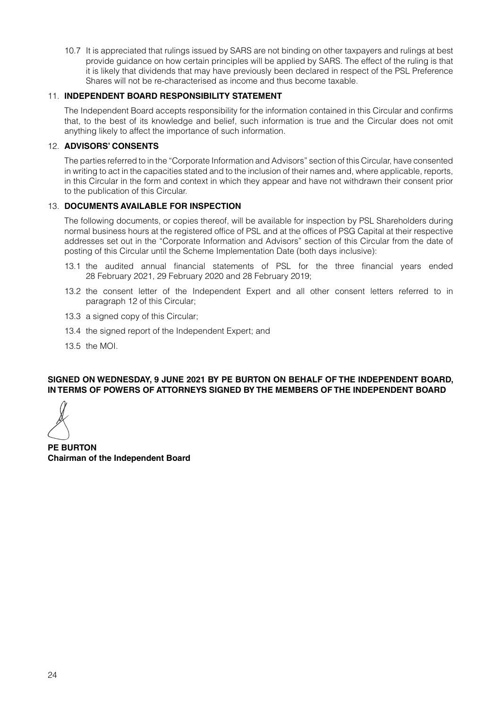10.7 It is appreciated that rulings issued by SARS are not binding on other taxpayers and rulings at best provide guidance on how certain principles will be applied by SARS. The effect of the ruling is that it is likely that dividends that may have previously been declared in respect of the PSL Preference Shares will not be re-characterised as income and thus become taxable.

# 11. **INDEPENDENT BOARD RESPONSIBILITY STATEMENT**

The Independent Board accepts responsibility for the information contained in this Circular and confirms that, to the best of its knowledge and belief, such information is true and the Circular does not omit anything likely to affect the importance of such information.

## 12. **ADVISORS' CONSENTS**

The parties referred to in the "Corporate Information and Advisors" section of this Circular, have consented in writing to act in the capacities stated and to the inclusion of their names and, where applicable, reports, in this Circular in the form and context in which they appear and have not withdrawn their consent prior to the publication of this Circular.

## 13. **DOCUMENTS AVAILABLE FOR INSPECTION**

The following documents, or copies thereof, will be available for inspection by PSL Shareholders during normal business hours at the registered office of PSL and at the offices of PSG Capital at their respective addresses set out in the "Corporate Information and Advisors" section of this Circular from the date of posting of this Circular until the Scheme Implementation Date (both days inclusive):

- 13.1 the audited annual financial statements of PSL for the three financial years ended 28 February 2021, 29 February 2020 and 28 February 2019;
- 13.2 the consent letter of the Independent Expert and all other consent letters referred to in paragraph 12 of this Circular;
- 13.3 a signed copy of this Circular;
- 13.4 the signed report of the Independent Expert; and
- 13.5 the MOI.

## **SIGNED ON WEDNESDAY, 9 JUNE 2021 BY PE BURTON ON BEHALF OF THE INDEPENDENT BOARD, IN TERMS OF POWERS OF ATTORNEYS SIGNED BY THE MEMBERS OF THE INDEPENDENT BOARD**

**PE BURTON Chairman of the Independent Board**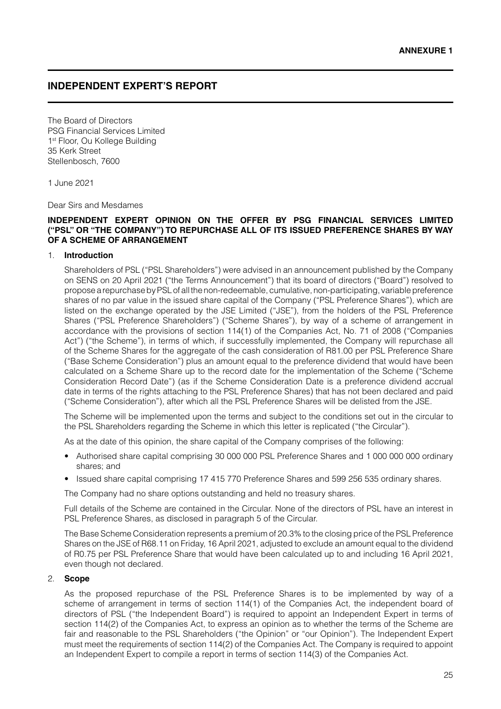# **INDEPENDENT EXPERT'S REPORT**

The Board of Directors PSG Financial Services Limited 1st Floor, Ou Kollege Building 35 Kerk Street Stellenbosch, 7600

1 June 2021

Dear Sirs and Mesdames

## **INDEPENDENT EXPERT OPINION ON THE OFFER BY PSG FINANCIAL SERVICES LIMITED ("PSL" OR "THE COMPANY") TO REPURCHASE ALL OF ITS ISSUED PREFERENCE SHARES BY WAY OF A SCHEME OF ARRANGEMENT**

### 1. **Introduction**

Shareholders of PSL ("PSL Shareholders") were advised in an announcement published by the Company on SENS on 20 April 2021 ("the Terms Announcement") that its board of directors ("Board") resolved to propose a repurchase by PSL of all the non-redeemable, cumulative, non-participating, variable preference shares of no par value in the issued share capital of the Company ("PSL Preference Shares"), which are listed on the exchange operated by the JSE Limited ("JSE"), from the holders of the PSL Preference Shares ("PSL Preference Shareholders") ("Scheme Shares"), by way of a scheme of arrangement in accordance with the provisions of section 114(1) of the Companies Act, No. 71 of 2008 ("Companies Act") ("the Scheme"), in terms of which, if successfully implemented, the Company will repurchase all of the Scheme Shares for the aggregate of the cash consideration of R81.00 per PSL Preference Share ("Base Scheme Consideration") plus an amount equal to the preference dividend that would have been calculated on a Scheme Share up to the record date for the implementation of the Scheme ("Scheme Consideration Record Date") (as if the Scheme Consideration Date is a preference dividend accrual date in terms of the rights attaching to the PSL Preference Shares) that has not been declared and paid ("Scheme Consideration"), after which all the PSL Preference Shares will be delisted from the JSE.

The Scheme will be implemented upon the terms and subject to the conditions set out in the circular to the PSL Shareholders regarding the Scheme in which this letter is replicated ("the Circular").

As at the date of this opinion, the share capital of the Company comprises of the following:

- Authorised share capital comprising 30 000 000 PSL Preference Shares and 1 000 000 000 ordinary shares; and
- Issued share capital comprising 17 415 770 Preference Shares and 599 256 535 ordinary shares.

The Company had no share options outstanding and held no treasury shares.

Full details of the Scheme are contained in the Circular. None of the directors of PSL have an interest in PSL Preference Shares, as disclosed in paragraph 5 of the Circular.

The Base Scheme Consideration represents a premium of 20.3% to the closing price of the PSL Preference Shares on the JSE of R68.11 on Friday, 16 April 2021, adjusted to exclude an amount equal to the dividend of R0.75 per PSL Preference Share that would have been calculated up to and including 16 April 2021, even though not declared.

## 2. **Scope**

As the proposed repurchase of the PSL Preference Shares is to be implemented by way of a scheme of arrangement in terms of section 114(1) of the Companies Act, the independent board of directors of PSL ("the Independent Board") is required to appoint an Independent Expert in terms of section 114(2) of the Companies Act, to express an opinion as to whether the terms of the Scheme are fair and reasonable to the PSL Shareholders ("the Opinion" or "our Opinion"). The Independent Expert must meet the requirements of section 114(2) of the Companies Act. The Company is required to appoint an Independent Expert to compile a report in terms of section 114(3) of the Companies Act.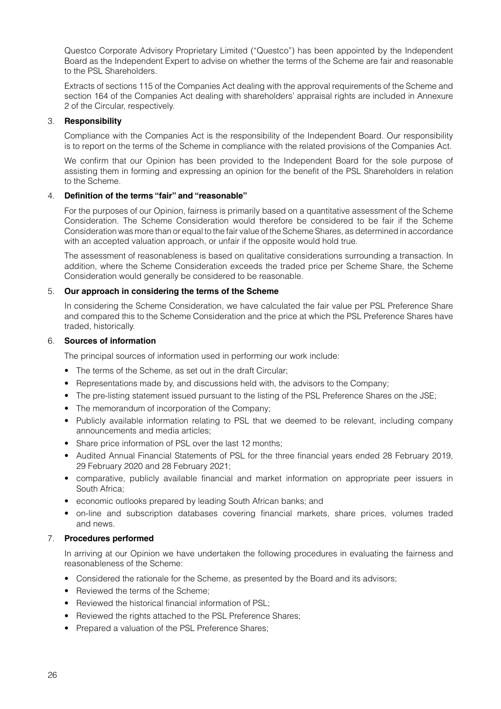Questco Corporate Advisory Proprietary Limited ("Questco") has been appointed by the Independent Board as the Independent Expert to advise on whether the terms of the Scheme are fair and reasonable to the PSL Shareholders.

Extracts of sections 115 of the Companies Act dealing with the approval requirements of the Scheme and section 164 of the Companies Act dealing with shareholders' appraisal rights are included in Annexure 2 of the Circular, respectively.

# 3. **Responsibility**

Compliance with the Companies Act is the responsibility of the Independent Board. Our responsibility is to report on the terms of the Scheme in compliance with the related provisions of the Companies Act.

We confirm that our Opinion has been provided to the Independent Board for the sole purpose of assisting them in forming and expressing an opinion for the benefit of the PSL Shareholders in relation to the Scheme.

# 4. **Definition of the terms "fair" and "reasonable"**

For the purposes of our Opinion, fairness is primarily based on a quantitative assessment of the Scheme Consideration. The Scheme Consideration would therefore be considered to be fair if the Scheme Consideration was more than or equal to the fair value of the Scheme Shares, as determined in accordance with an accepted valuation approach, or unfair if the opposite would hold true.

The assessment of reasonableness is based on qualitative considerations surrounding a transaction. In addition, where the Scheme Consideration exceeds the traded price per Scheme Share, the Scheme Consideration would generally be considered to be reasonable.

# 5. **Our approach in considering the terms of the Scheme**

In considering the Scheme Consideration, we have calculated the fair value per PSL Preference Share and compared this to the Scheme Consideration and the price at which the PSL Preference Shares have traded, historically.

# 6. **Sources of information**

The principal sources of information used in performing our work include:

- The terms of the Scheme, as set out in the draft Circular;
- Representations made by, and discussions held with, the advisors to the Company;
- The pre-listing statement issued pursuant to the listing of the PSL Preference Shares on the JSE;
- The memorandum of incorporation of the Company;
- Publicly available information relating to PSL that we deemed to be relevant, including company announcements and media articles;
- Share price information of PSL over the last 12 months;
- Audited Annual Financial Statements of PSL for the three financial years ended 28 February 2019, 29 February 2020 and 28 February 2021;
- comparative, publicly available financial and market information on appropriate peer issuers in South Africa;
- economic outlooks prepared by leading South African banks; and
- on-line and subscription databases covering financial markets, share prices, volumes traded and news.

# 7. **Procedures performed**

In arriving at our Opinion we have undertaken the following procedures in evaluating the fairness and reasonableness of the Scheme:

- Considered the rationale for the Scheme, as presented by the Board and its advisors;
- Reviewed the terms of the Scheme:
- Reviewed the historical financial information of PSL;
- Reviewed the rights attached to the PSL Preference Shares:
- Prepared a valuation of the PSL Preference Shares;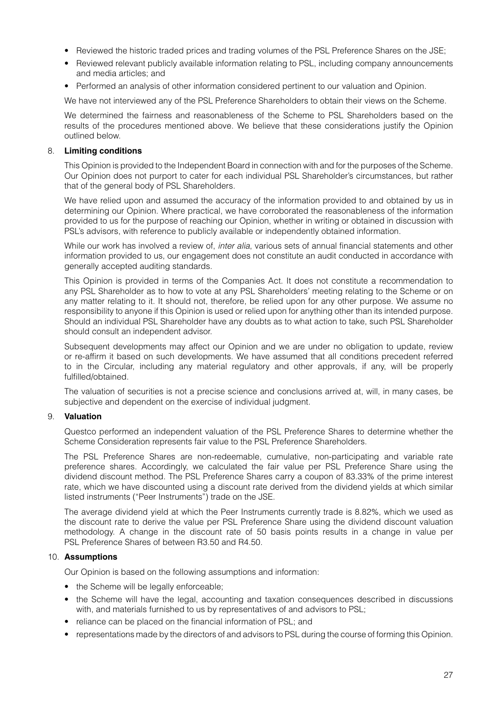- Reviewed the historic traded prices and trading volumes of the PSL Preference Shares on the JSE;
- Reviewed relevant publicly available information relating to PSL, including company announcements and media articles; and
- Performed an analysis of other information considered pertinent to our valuation and Opinion.

We have not interviewed any of the PSL Preference Shareholders to obtain their views on the Scheme.

We determined the fairness and reasonableness of the Scheme to PSL Shareholders based on the results of the procedures mentioned above. We believe that these considerations justify the Opinion outlined below.

# 8. **Limiting conditions**

This Opinion is provided to the Independent Board in connection with and for the purposes of the Scheme. Our Opinion does not purport to cater for each individual PSL Shareholder's circumstances, but rather that of the general body of PSL Shareholders.

We have relied upon and assumed the accuracy of the information provided to and obtained by us in determining our Opinion. Where practical, we have corroborated the reasonableness of the information provided to us for the purpose of reaching our Opinion, whether in writing or obtained in discussion with PSL's advisors, with reference to publicly available or independently obtained information.

While our work has involved a review of, *inter alia*, various sets of annual financial statements and other information provided to us, our engagement does not constitute an audit conducted in accordance with generally accepted auditing standards.

This Opinion is provided in terms of the Companies Act. It does not constitute a recommendation to any PSL Shareholder as to how to vote at any PSL Shareholders' meeting relating to the Scheme or on any matter relating to it. It should not, therefore, be relied upon for any other purpose. We assume no responsibility to anyone if this Opinion is used or relied upon for anything other than its intended purpose. Should an individual PSL Shareholder have any doubts as to what action to take, such PSL Shareholder should consult an independent advisor.

Subsequent developments may affect our Opinion and we are under no obligation to update, review or re-affirm it based on such developments. We have assumed that all conditions precedent referred to in the Circular, including any material regulatory and other approvals, if any, will be properly fulfilled/obtained.

The valuation of securities is not a precise science and conclusions arrived at, will, in many cases, be subjective and dependent on the exercise of individual judgment.

# 9. **Valuation**

Questco performed an independent valuation of the PSL Preference Shares to determine whether the Scheme Consideration represents fair value to the PSL Preference Shareholders.

The PSL Preference Shares are non-redeemable, cumulative, non-participating and variable rate preference shares. Accordingly, we calculated the fair value per PSL Preference Share using the dividend discount method. The PSL Preference Shares carry a coupon of 83.33% of the prime interest rate, which we have discounted using a discount rate derived from the dividend yields at which similar listed instruments ("Peer Instruments") trade on the JSE.

The average dividend yield at which the Peer Instruments currently trade is 8.82%, which we used as the discount rate to derive the value per PSL Preference Share using the dividend discount valuation methodology. A change in the discount rate of 50 basis points results in a change in value per PSL Preference Shares of between R3.50 and R4.50.

# 10. **Assumptions**

Our Opinion is based on the following assumptions and information:

- the Scheme will be legally enforceable;
- the Scheme will have the legal, accounting and taxation consequences described in discussions with, and materials furnished to us by representatives of and advisors to PSL;
- reliance can be placed on the financial information of PSL; and
- representations made by the directors of and advisors to PSL during the course of forming this Opinion.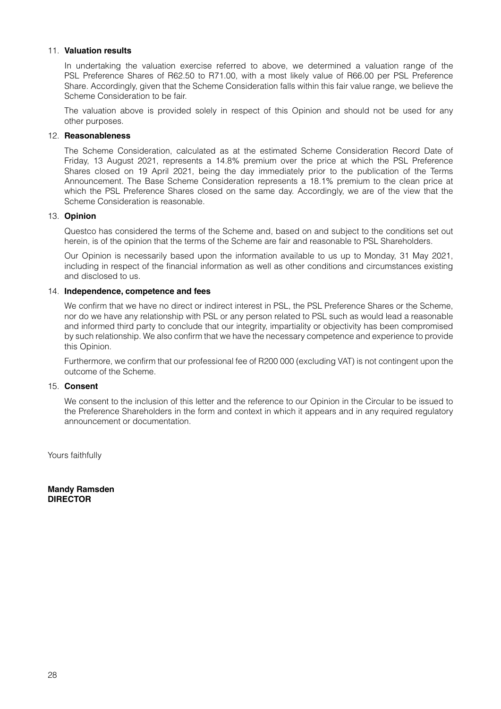## 11. **Valuation results**

In undertaking the valuation exercise referred to above, we determined a valuation range of the PSL Preference Shares of R62.50 to R71.00, with a most likely value of R66.00 per PSL Preference Share. Accordingly, given that the Scheme Consideration falls within this fair value range, we believe the Scheme Consideration to be fair.

The valuation above is provided solely in respect of this Opinion and should not be used for any other purposes.

## 12. **Reasonableness**

The Scheme Consideration, calculated as at the estimated Scheme Consideration Record Date of Friday, 13 August 2021, represents a 14.8% premium over the price at which the PSL Preference Shares closed on 19 April 2021, being the day immediately prior to the publication of the Terms Announcement. The Base Scheme Consideration represents a 18.1% premium to the clean price at which the PSL Preference Shares closed on the same day. Accordingly, we are of the view that the Scheme Consideration is reasonable.

## 13. **Opinion**

Questco has considered the terms of the Scheme and, based on and subject to the conditions set out herein, is of the opinion that the terms of the Scheme are fair and reasonable to PSL Shareholders.

Our Opinion is necessarily based upon the information available to us up to Monday, 31 May 2021, including in respect of the financial information as well as other conditions and circumstances existing and disclosed to us.

# 14. **Independence, competence and fees**

We confirm that we have no direct or indirect interest in PSL, the PSL Preference Shares or the Scheme, nor do we have any relationship with PSL or any person related to PSL such as would lead a reasonable and informed third party to conclude that our integrity, impartiality or objectivity has been compromised by such relationship. We also confirm that we have the necessary competence and experience to provide this Opinion.

Furthermore, we confirm that our professional fee of R200 000 (excluding VAT) is not contingent upon the outcome of the Scheme.

## 15. **Consent**

We consent to the inclusion of this letter and the reference to our Opinion in the Circular to be issued to the Preference Shareholders in the form and context in which it appears and in any required regulatory announcement or documentation.

Yours faithfully

**Mandy Ramsden DIRECTOR**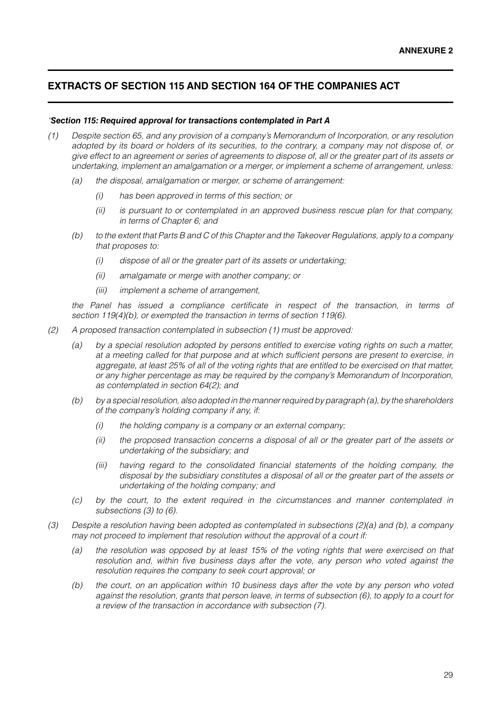# **EXTRACTS OF SECTION 115 AND SECTION 164 OF THE COMPANIES ACT**

## *"Section 115: Required approval for transactions contemplated in Part A*

- *(1) Despite section 65, and any provision of a company's Memorandum of Incorporation, or any resolution adopted by its board or holders of its securities, to the contrary, a company may not dispose of, or give effect to an agreement or series of agreements to dispose of, all or the greater part of its assets or undertaking, implement an amalgamation or a merger, or implement a scheme of arrangement, unless:*
	- *(a) the disposal, amalgamation or merger, or scheme of arrangement:*
		- *(i) has been approved in terms of this section; or*
		- *(ii) is pursuant to or contemplated in an approved business rescue plan for that company, in terms of Chapter 6; and*
	- *(b) to the extent that Parts B and C of this Chapter and the Takeover Regulations, apply to a company that proposes to:*
		- *(i) dispose of all or the greater part of its assets or undertaking;*
		- *(ii) amalgamate or merge with another company; or*
		- *(iii) implement a scheme of arrangement,*

*the Panel has issued a compliance certificate in respect of the transaction, in terms of section 119(4)(b), or exempted the transaction in terms of section 119(6).*

- *(2) A proposed transaction contemplated in subsection (1) must be approved:*
	- *(a) by a special resolution adopted by persons entitled to exercise voting rights on such a matter, at a meeting called for that purpose and at which sufficient persons are present to exercise, in aggregate, at least 25% of all of the voting rights that are entitled to be exercised on that matter, or any higher percentage as may be required by the company's Memorandum of Incorporation, as contemplated in section 64(2); and*
	- *(b) by a special resolution, also adopted in the manner required by paragraph (a), by the shareholders of the company's holding company if any, if:*
		- *(i) the holding company is a company or an external company;*
		- *(ii) the proposed transaction concerns a disposal of all or the greater part of the assets or undertaking of the subsidiary; and*
		- *(iii) having regard to the consolidated financial statements of the holding company, the disposal by the subsidiary constitutes a disposal of all or the greater part of the assets or undertaking of the holding company; and*
	- *(c) by the court, to the extent required in the circumstances and manner contemplated in subsections (3) to (6).*
- *(3) Despite a resolution having been adopted as contemplated in subsections (2)(a) and (b), a company may not proceed to implement that resolution without the approval of a court if:*
	- *(a) the resolution was opposed by at least 15% of the voting rights that were exercised on that resolution and, within five business days after the vote, any person who voted against the resolution requires the company to seek court approval; or*
	- *(b) the court, on an application within 10 business days after the vote by any person who voted against the resolution, grants that person leave, in terms of subsection (6), to apply to a court for a review of the transaction in accordance with subsection (7).*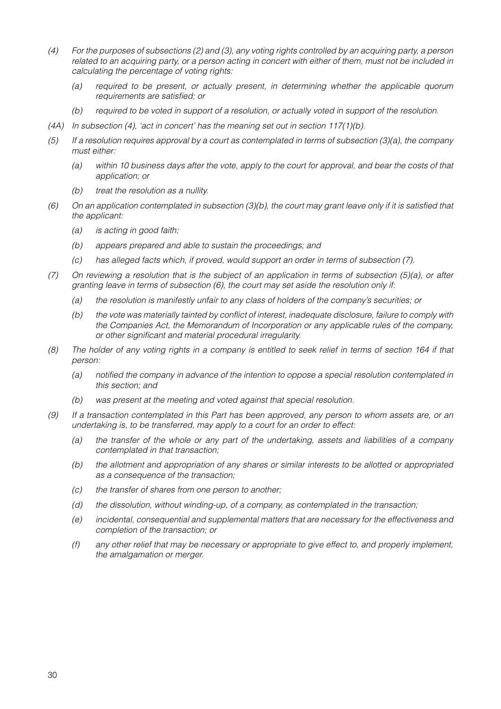- *(4) For the purposes of subsections (2) and (3), any voting rights controlled by an acquiring party, a person related to an acquiring party, or a person acting in concert with either of them, must not be included in calculating the percentage of voting rights:*
	- *(a) required to be present, or actually present, in determining whether the applicable quorum requirements are satisfied; or*
	- *(b) required to be voted in support of a resolution, or actually voted in support of the resolution.*
- *(4A) In subsection (4), 'act in concert' has the meaning set out in section 117(1)(b).*
- *(5) If a resolution requires approval by a court as contemplated in terms of subsection (3)(a), the company must either:*
	- *(a) within 10 business days after the vote, apply to the court for approval, and bear the costs of that application; or*
	- *(b) treat the resolution as a nullity.*
- *(6) On an application contemplated in subsection (3)(b), the court may grant leave only if it is satisfied that the applicant:*
	- *(a) is acting in good faith;*
	- *(b) appears prepared and able to sustain the proceedings; and*
	- *(c) has alleged facts which, if proved, would support an order in terms of subsection (7).*
- *(7) On reviewing a resolution that is the subject of an application in terms of subsection (5)(a), or after granting leave in terms of subsection (6), the court may set aside the resolution only if:*
	- *(a) the resolution is manifestly unfair to any class of holders of the company's securities; or*
	- *(b) the vote was materially tainted by conflict of interest, inadequate disclosure, failure to comply with the Companies Act, the Memorandum of Incorporation or any applicable rules of the company, or other significant and material procedural irregularity.*
- *(8) The holder of any voting rights in a company is entitled to seek relief in terms of section 164 if that person:*
	- *(a) notified the company in advance of the intention to oppose a special resolution contemplated in this section; and*
	- *(b) was present at the meeting and voted against that special resolution.*
- *(9) If a transaction contemplated in this Part has been approved, any person to whom assets are, or an undertaking is, to be transferred, may apply to a court for an order to effect:*
	- *(a) the transfer of the whole or any part of the undertaking, assets and liabilities of a company contemplated in that transaction;*
	- *(b) the allotment and appropriation of any shares or similar interests to be allotted or appropriated as a consequence of the transaction;*
	- *(c) the transfer of shares from one person to another;*
	- *(d) the dissolution, without winding-up, of a company, as contemplated in the transaction;*
	- *(e) incidental, consequential and supplemental matters that are necessary for the effectiveness and completion of the transaction; or*
	- *(f) any other relief that may be necessary or appropriate to give effect to, and properly implement, the amalgamation or merger.*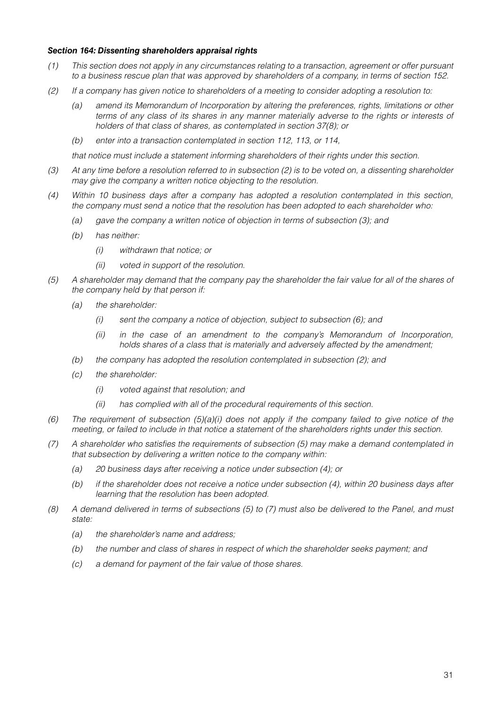## *Section 164: Dissenting shareholders appraisal rights*

- *(1) This section does not apply in any circumstances relating to a transaction, agreement or offer pursuant to a business rescue plan that was approved by shareholders of a company, in terms of section 152.*
- *(2) If a company has given notice to shareholders of a meeting to consider adopting a resolution to:*
	- *(a) amend its Memorandum of Incorporation by altering the preferences, rights, limitations or other terms of any class of its shares in any manner materially adverse to the rights or interests of holders of that class of shares, as contemplated in section 37(8); or*
	- *(b) enter into a transaction contemplated in section 112, 113, or 114,*

*that notice must include a statement informing shareholders of their rights under this section.*

- *(3) At any time before a resolution referred to in subsection (2) is to be voted on, a dissenting shareholder may give the company a written notice objecting to the resolution.*
- *(4) Within 10 business days after a company has adopted a resolution contemplated in this section, the company must send a notice that the resolution has been adopted to each shareholder who:*
	- *(a) gave the company a written notice of objection in terms of subsection (3); and*
	- *(b) has neither:*
		- *(i) withdrawn that notice; or*
		- *(ii) voted in support of the resolution.*
- *(5) A shareholder may demand that the company pay the shareholder the fair value for all of the shares of the company held by that person if:*
	- *(a) the shareholder:*
		- *(i) sent the company a notice of objection, subject to subsection (6); and*
		- *(ii) in the case of an amendment to the company's Memorandum of Incorporation, holds shares of a class that is materially and adversely affected by the amendment;*
	- *(b) the company has adopted the resolution contemplated in subsection (2); and*
	- *(c) the shareholder:*
		- *(i) voted against that resolution; and*
		- *(ii) has complied with all of the procedural requirements of this section.*
- *(6) The requirement of subsection (5)(a)(i) does not apply if the company failed to give notice of the meeting, or failed to include in that notice a statement of the shareholders rights under this section.*
- *(7) A shareholder who satisfies the requirements of subsection (5) may make a demand contemplated in that subsection by delivering a written notice to the company within:*
	- *(a) 20 business days after receiving a notice under subsection (4); or*
	- *(b) if the shareholder does not receive a notice under subsection (4), within 20 business days after learning that the resolution has been adopted.*
- *(8) A demand delivered in terms of subsections (5) to (7) must also be delivered to the Panel, and must state:*
	- *(a) the shareholder's name and address;*
	- *(b) the number and class of shares in respect of which the shareholder seeks payment; and*
	- *(c) a demand for payment of the fair value of those shares.*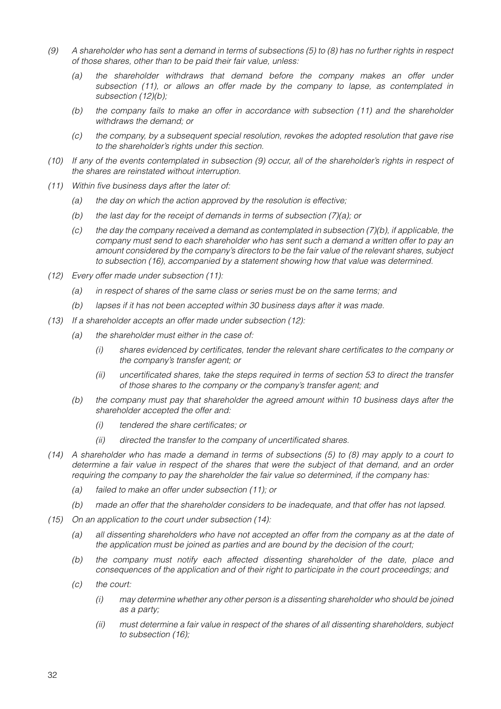- *(9) A shareholder who has sent a demand in terms of subsections (5) to (8) has no further rights in respect of those shares, other than to be paid their fair value, unless:*
	- *(a) the shareholder withdraws that demand before the company makes an offer under subsection (11), or allows an offer made by the company to lapse, as contemplated in subsection (12)(b);*
	- *(b) the company fails to make an offer in accordance with subsection (11) and the shareholder withdraws the demand; or*
	- *(c) the company, by a subsequent special resolution, revokes the adopted resolution that gave rise to the shareholder's rights under this section.*
- *(10) If any of the events contemplated in subsection (9) occur, all of the shareholder's rights in respect of the shares are reinstated without interruption.*
- *(11) Within five business days after the later of:*
	- *(a) the day on which the action approved by the resolution is effective;*
	- *(b) the last day for the receipt of demands in terms of subsection (7)(a); or*
	- *(c) the day the company received a demand as contemplated in subsection (7)(b), if applicable, the company must send to each shareholder who has sent such a demand a written offer to pay an amount considered by the company's directors to be the fair value of the relevant shares, subject to subsection (16), accompanied by a statement showing how that value was determined.*
- *(12) Every offer made under subsection (11):*
	- *(a) in respect of shares of the same class or series must be on the same terms; and*
	- *(b) lapses if it has not been accepted within 30 business days after it was made.*
- *(13) If a shareholder accepts an offer made under subsection (12):*
	- *(a) the shareholder must either in the case of:*
		- *(i) shares evidenced by certificates, tender the relevant share certificates to the company or the company's transfer agent; or*
		- *(ii) uncertificated shares, take the steps required in terms of section 53 to direct the transfer of those shares to the company or the company's transfer agent; and*
	- *(b) the company must pay that shareholder the agreed amount within 10 business days after the shareholder accepted the offer and:*
		- *(i) tendered the share certificates; or*
		- *(ii) directed the transfer to the company of uncertificated shares.*
- *(14) A shareholder who has made a demand in terms of subsections (5) to (8) may apply to a court to determine a fair value in respect of the shares that were the subject of that demand, and an order requiring the company to pay the shareholder the fair value so determined, if the company has:*
	- *(a) failed to make an offer under subsection (11); or*
	- *(b) made an offer that the shareholder considers to be inadequate, and that offer has not lapsed.*
- *(15) On an application to the court under subsection (14):*
	- *(a) all dissenting shareholders who have not accepted an offer from the company as at the date of the application must be joined as parties and are bound by the decision of the court;*
	- *(b) the company must notify each affected dissenting shareholder of the date, place and consequences of the application and of their right to participate in the court proceedings; and*
	- *(c) the court:*
		- *(i) may determine whether any other person is a dissenting shareholder who should be joined as a party;*
		- *(ii) must determine a fair value in respect of the shares of all dissenting shareholders, subject to subsection (16);*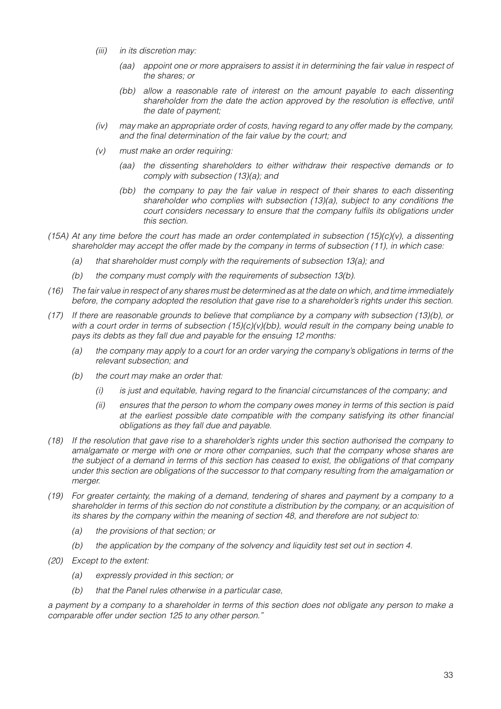- *(iii) in its discretion may:*
	- *(aa) appoint one or more appraisers to assist it in determining the fair value in respect of the shares; or*
	- *(bb) allow a reasonable rate of interest on the amount payable to each dissenting shareholder from the date the action approved by the resolution is effective, until the date of payment;*
- *(iv) may make an appropriate order of costs, having regard to any offer made by the company, and the final determination of the fair value by the court; and*
- *(v) must make an order requiring:*
	- *(aa) the dissenting shareholders to either withdraw their respective demands or to comply with subsection (13)(a); and*
	- *(bb) the company to pay the fair value in respect of their shares to each dissenting shareholder who complies with subsection (13)(a), subject to any conditions the court considers necessary to ensure that the company fulfils its obligations under this section.*
- *(15A) At any time before the court has made an order contemplated in subsection (15)(c)(v), a dissenting shareholder may accept the offer made by the company in terms of subsection (11), in which case:*
	- *(a) that shareholder must comply with the requirements of subsection 13(a); and*
	- *(b) the company must comply with the requirements of subsection 13(b).*
- *(16) The fair value in respect of any shares must be determined as at the date on which, and time immediately before, the company adopted the resolution that gave rise to a shareholder's rights under this section.*
- *(17) If there are reasonable grounds to believe that compliance by a company with subsection (13)(b), or with a court order in terms of subsection (15)(c)(v)(bb), would result in the company being unable to pays its debts as they fall due and payable for the ensuing 12 months:*
	- *(a) the company may apply to a court for an order varying the company's obligations in terms of the relevant subsection; and*
	- *(b) the court may make an order that:*
		- *(i) is just and equitable, having regard to the financial circumstances of the company; and*
		- *(ii) ensures that the person to whom the company owes money in terms of this section is paid at the earliest possible date compatible with the company satisfying its other financial obligations as they fall due and payable.*
- *(18) If the resolution that gave rise to a shareholder's rights under this section authorised the company to amalgamate or merge with one or more other companies, such that the company whose shares are the subject of a demand in terms of this section has ceased to exist, the obligations of that company under this section are obligations of the successor to that company resulting from the amalgamation or merger.*
- *(19) For greater certainty, the making of a demand, tendering of shares and payment by a company to a shareholder in terms of this section do not constitute a distribution by the company, or an acquisition of its shares by the company within the meaning of section 48, and therefore are not subject to:*
	- *(a) the provisions of that section; or*
	- *(b) the application by the company of the solvency and liquidity test set out in section 4.*
- *(20) Except to the extent:*
	- *(a) expressly provided in this section; or*
	- *(b) that the Panel rules otherwise in a particular case,*

*a payment by a company to a shareholder in terms of this section does not obligate any person to make a comparable offer under section 125 to any other person."*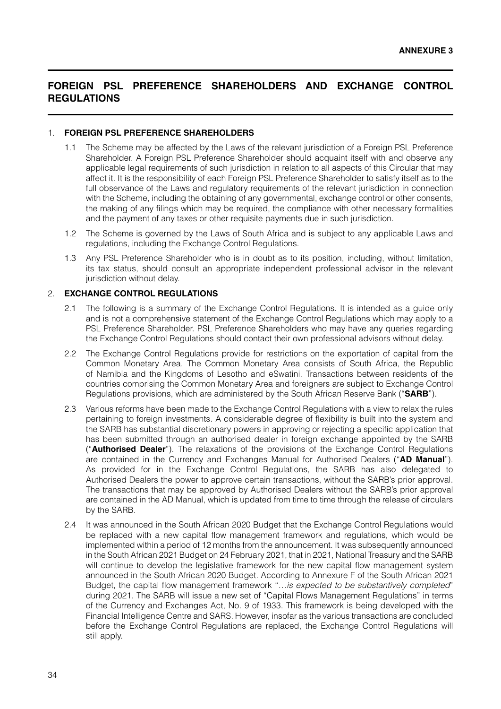# **FOREIGN PSL PREFERENCE SHAREHOLDERS AND EXCHANGE CONTROL REGULATIONS**

## 1. **FOREIGN PSL PREFERENCE SHAREHOLDERS**

- 1.1 The Scheme may be affected by the Laws of the relevant jurisdiction of a Foreign PSL Preference Shareholder. A Foreign PSL Preference Shareholder should acquaint itself with and observe any applicable legal requirements of such jurisdiction in relation to all aspects of this Circular that may affect it. It is the responsibility of each Foreign PSL Preference Shareholder to satisfy itself as to the full observance of the Laws and regulatory requirements of the relevant jurisdiction in connection with the Scheme, including the obtaining of any governmental, exchange control or other consents, the making of any filings which may be required, the compliance with other necessary formalities and the payment of any taxes or other requisite payments due in such jurisdiction.
- 1.2 The Scheme is governed by the Laws of South Africa and is subject to any applicable Laws and regulations, including the Exchange Control Regulations.
- 1.3 Any PSL Preference Shareholder who is in doubt as to its position, including, without limitation, its tax status, should consult an appropriate independent professional advisor in the relevant jurisdiction without delay.

## 2. **EXCHANGE CONTROL REGULATIONS**

- 2.1 The following is a summary of the Exchange Control Regulations. It is intended as a guide only and is not a comprehensive statement of the Exchange Control Regulations which may apply to a PSL Preference Shareholder. PSL Preference Shareholders who may have any queries regarding the Exchange Control Regulations should contact their own professional advisors without delay.
- 2.2 The Exchange Control Regulations provide for restrictions on the exportation of capital from the Common Monetary Area. The Common Monetary Area consists of South Africa, the Republic of Namibia and the Kingdoms of Lesotho and eSwatini. Transactions between residents of the countries comprising the Common Monetary Area and foreigners are subject to Exchange Control Regulations provisions, which are administered by the South African Reserve Bank ("**SARB**").
- 2.3 Various reforms have been made to the Exchange Control Regulations with a view to relax the rules pertaining to foreign investments. A considerable degree of flexibility is built into the system and the SARB has substantial discretionary powers in approving or rejecting a specific application that has been submitted through an authorised dealer in foreign exchange appointed by the SARB ("**Authorised Dealer**"). The relaxations of the provisions of the Exchange Control Regulations are contained in the Currency and Exchanges Manual for Authorised Dealers ("**AD Manual**"). As provided for in the Exchange Control Regulations, the SARB has also delegated to Authorised Dealers the power to approve certain transactions, without the SARB's prior approval. The transactions that may be approved by Authorised Dealers without the SARB's prior approval are contained in the AD Manual, which is updated from time to time through the release of circulars by the SARB.
- 2.4 It was announced in the South African 2020 Budget that the Exchange Control Regulations would be replaced with a new capital flow management framework and regulations, which would be implemented within a period of 12 months from the announcement. It was subsequently announced in the South African 2021 Budget on 24 February 2021, that in 2021, National Treasury and the SARB will continue to develop the legislative framework for the new capital flow management system announced in the South African 2020 Budget. According to Annexure F of the South African 2021 Budget, the capital flow management framework "*…is expected to be substantively completed*" during 2021. The SARB will issue a new set of "Capital Flows Management Regulations" in terms of the Currency and Exchanges Act, No. 9 of 1933. This framework is being developed with the Financial Intelligence Centre and SARS. However, insofar as the various transactions are concluded before the Exchange Control Regulations are replaced, the Exchange Control Regulations will still apply.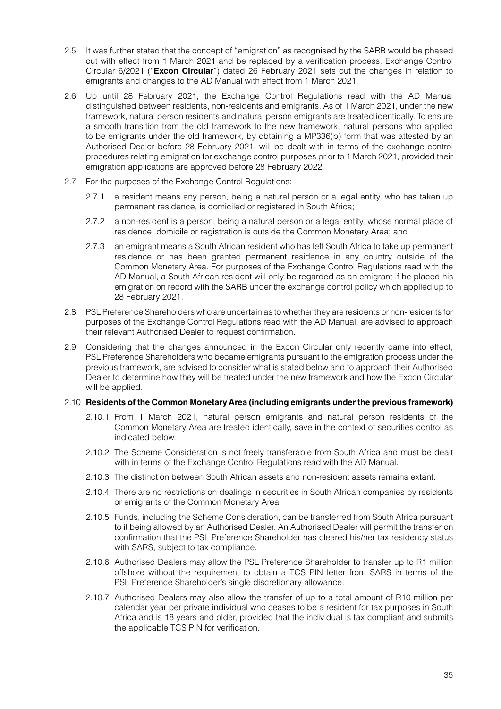- 2.5 It was further stated that the concept of "emigration" as recognised by the SARB would be phased out with effect from 1 March 2021 and be replaced by a verification process. Exchange Control Circular 6/2021 ("**Excon Circular**") dated 26 February 2021 sets out the changes in relation to emigrants and changes to the AD Manual with effect from 1 March 2021.
- 2.6 Up until 28 February 2021, the Exchange Control Regulations read with the AD Manual distinguished between residents, non-residents and emigrants. As of 1 March 2021, under the new framework, natural person residents and natural person emigrants are treated identically. To ensure a smooth transition from the old framework to the new framework, natural persons who applied to be emigrants under the old framework, by obtaining a MP336(b) form that was attested by an Authorised Dealer before 28 February 2021, will be dealt with in terms of the exchange control procedures relating emigration for exchange control purposes prior to 1 March 2021, provided their emigration applications are approved before 28 February 2022.
- 2.7 For the purposes of the Exchange Control Regulations:
	- 2.7.1 a resident means any person, being a natural person or a legal entity, who has taken up permanent residence, is domiciled or registered in South Africa;
	- 2.7.2 a non-resident is a person, being a natural person or a legal entity, whose normal place of residence, domicile or registration is outside the Common Monetary Area; and
	- 2.7.3 an emigrant means a South African resident who has left South Africa to take up permanent residence or has been granted permanent residence in any country outside of the Common Monetary Area. For purposes of the Exchange Control Regulations read with the AD Manual, a South African resident will only be regarded as an emigrant if he placed his emigration on record with the SARB under the exchange control policy which applied up to 28 February 2021.
- 2.8 PSL Preference Shareholders who are uncertain as to whether they are residents or non-residents for purposes of the Exchange Control Regulations read with the AD Manual, are advised to approach their relevant Authorised Dealer to request confirmation.
- 2.9 Considering that the changes announced in the Excon Circular only recently came into effect, PSL Preference Shareholders who became emigrants pursuant to the emigration process under the previous framework, are advised to consider what is stated below and to approach their Authorised Dealer to determine how they will be treated under the new framework and how the Excon Circular will be applied.

# 2.10 **Residents of the Common Monetary Area (including emigrants under the previous framework)**

- 2.10.1 From 1 March 2021, natural person emigrants and natural person residents of the Common Monetary Area are treated identically, save in the context of securities control as indicated below.
- 2.10.2 The Scheme Consideration is not freely transferable from South Africa and must be dealt with in terms of the Exchange Control Regulations read with the AD Manual.
- 2.10.3 The distinction between South African assets and non-resident assets remains extant.
- 2.10.4 There are no restrictions on dealings in securities in South African companies by residents or emigrants of the Common Monetary Area.
- 2.10.5 Funds, including the Scheme Consideration, can be transferred from South Africa pursuant to it being allowed by an Authorised Dealer. An Authorised Dealer will permit the transfer on confirmation that the PSL Preference Shareholder has cleared his/her tax residency status with SARS, subject to tax compliance.
- 2.10.6 Authorised Dealers may allow the PSL Preference Shareholder to transfer up to R1 million offshore without the requirement to obtain a TCS PIN letter from SARS in terms of the PSL Preference Shareholder's single discretionary allowance.
- 2.10.7 Authorised Dealers may also allow the transfer of up to a total amount of R10 million per calendar year per private individual who ceases to be a resident for tax purposes in South Africa and is 18 years and older, provided that the individual is tax compliant and submits the applicable TCS PIN for verification.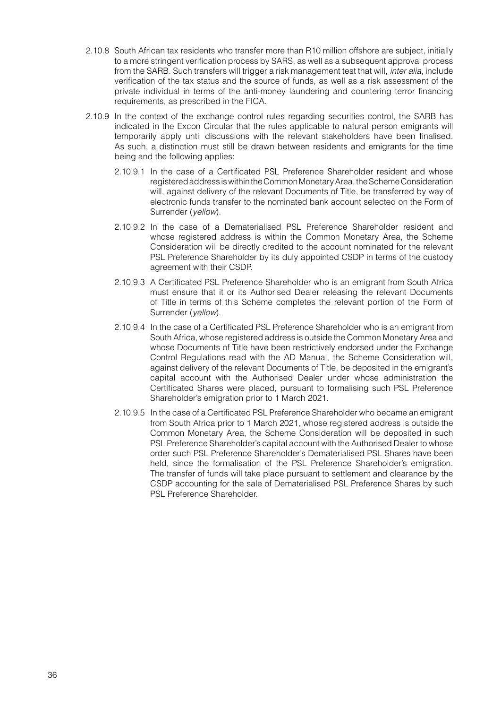- 2.10.8 South African tax residents who transfer more than R10 million offshore are subject, initially to a more stringent verification process by SARS, as well as a subsequent approval process from the SARB. Such transfers will trigger a risk management test that will, *inter alia*, include verification of the tax status and the source of funds, as well as a risk assessment of the private individual in terms of the anti-money laundering and countering terror financing requirements, as prescribed in the FICA.
- 2.10.9 In the context of the exchange control rules regarding securities control, the SARB has indicated in the Excon Circular that the rules applicable to natural person emigrants will temporarily apply until discussions with the relevant stakeholders have been finalised. As such, a distinction must still be drawn between residents and emigrants for the time being and the following applies:
	- 2.10.9.1 In the case of a Certificated PSL Preference Shareholder resident and whose registered address is within the Common Monetary Area, the Scheme Consideration will, against delivery of the relevant Documents of Title, be transferred by way of electronic funds transfer to the nominated bank account selected on the Form of Surrender (*yellow*).
	- 2.10.9.2 In the case of a Dematerialised PSL Preference Shareholder resident and whose registered address is within the Common Monetary Area, the Scheme Consideration will be directly credited to the account nominated for the relevant PSL Preference Shareholder by its duly appointed CSDP in terms of the custody agreement with their CSDP.
	- 2.10.9.3 A Certificated PSL Preference Shareholder who is an emigrant from South Africa must ensure that it or its Authorised Dealer releasing the relevant Documents of Title in terms of this Scheme completes the relevant portion of the Form of Surrender (*yellow*).
	- 2.10.9.4 In the case of a Certificated PSL Preference Shareholder who is an emigrant from South Africa, whose registered address is outside the Common Monetary Area and whose Documents of Title have been restrictively endorsed under the Exchange Control Regulations read with the AD Manual, the Scheme Consideration will, against delivery of the relevant Documents of Title, be deposited in the emigrant's capital account with the Authorised Dealer under whose administration the Certificated Shares were placed, pursuant to formalising such PSL Preference Shareholder's emigration prior to 1 March 2021.
	- 2.10.9.5 In the case of a Certificated PSL Preference Shareholder who became an emigrant from South Africa prior to 1 March 2021, whose registered address is outside the Common Monetary Area, the Scheme Consideration will be deposited in such PSL Preference Shareholder's capital account with the Authorised Dealer to whose order such PSL Preference Shareholder's Dematerialised PSL Shares have been held, since the formalisation of the PSL Preference Shareholder's emigration. The transfer of funds will take place pursuant to settlement and clearance by the CSDP accounting for the sale of Dematerialised PSL Preference Shares by such PSL Preference Shareholder.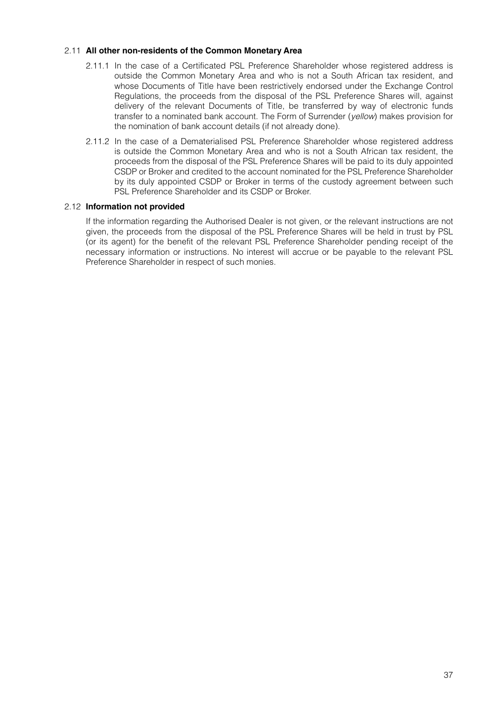# 2.11 **All other non-residents of the Common Monetary Area**

- 2.11.1 In the case of a Certificated PSL Preference Shareholder whose registered address is outside the Common Monetary Area and who is not a South African tax resident, and whose Documents of Title have been restrictively endorsed under the Exchange Control Regulations, the proceeds from the disposal of the PSL Preference Shares will, against delivery of the relevant Documents of Title, be transferred by way of electronic funds transfer to a nominated bank account. The Form of Surrender (*yellow*) makes provision for the nomination of bank account details (if not already done).
- 2.11.2 In the case of a Dematerialised PSL Preference Shareholder whose registered address is outside the Common Monetary Area and who is not a South African tax resident, the proceeds from the disposal of the PSL Preference Shares will be paid to its duly appointed CSDP or Broker and credited to the account nominated for the PSL Preference Shareholder by its duly appointed CSDP or Broker in terms of the custody agreement between such PSL Preference Shareholder and its CSDP or Broker.

# 2.12 **Information not provided**

If the information regarding the Authorised Dealer is not given, or the relevant instructions are not given, the proceeds from the disposal of the PSL Preference Shares will be held in trust by PSL (or its agent) for the benefit of the relevant PSL Preference Shareholder pending receipt of the necessary information or instructions. No interest will accrue or be payable to the relevant PSL Preference Shareholder in respect of such monies.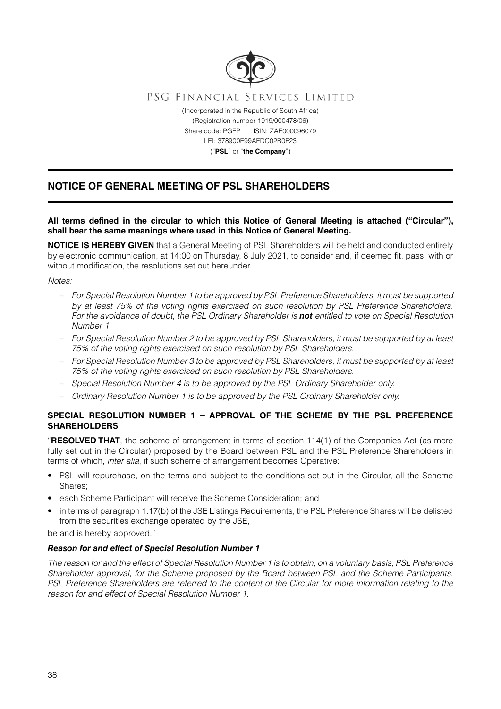

# **NOTICE OF GENERAL MEETING OF PSL SHAREHOLDERS**

# **All terms defined in the circular to which this Notice of General Meeting is attached ("Circular"), shall bear the same meanings where used in this Notice of General Meeting.**

**NOTICE IS HEREBY GIVEN** that a General Meeting of PSL Shareholders will be held and conducted entirely by electronic communication, at 14:00 on Thursday, 8 July 2021, to consider and, if deemed fit, pass, with or without modification, the resolutions set out hereunder.

*Notes:*

- *For Special Resolution Number 1 to be approved by PSL Preference Shareholders, it must be supported by at least 75% of the voting rights exercised on such resolution by PSL Preference Shareholders. For the avoidance of doubt, the PSL Ordinary Shareholder is not entitled to vote on Special Resolution Number 1.*
- *For Special Resolution Number 2 to be approved by PSL Shareholders, it must be supported by at least 75% of the voting rights exercised on such resolution by PSL Shareholders.*
- *For Special Resolution Number 3 to be approved by PSL Shareholders, it must be supported by at least 75% of the voting rights exercised on such resolution by PSL Shareholders.*
- *Special Resolution Number 4 is to be approved by the PSL Ordinary Shareholder only.*
- *Ordinary Resolution Number 1 is to be approved by the PSL Ordinary Shareholder only.*

# **SPECIAL RESOLUTION NUMBER 1 – APPROVAL OF THE SCHEME BY THE PSL PREFERENCE SHAREHOLDERS**

"**RESOLVED THAT**, the scheme of arrangement in terms of section 114(1) of the Companies Act (as more fully set out in the Circular) proposed by the Board between PSL and the PSL Preference Shareholders in terms of which, *inter alia*, if such scheme of arrangement becomes Operative:

- PSL will repurchase, on the terms and subject to the conditions set out in the Circular, all the Scheme Shares;
- each Scheme Participant will receive the Scheme Consideration; and
- in terms of paragraph 1.17(b) of the JSE Listings Requirements, the PSL Preference Shares will be delisted from the securities exchange operated by the JSE,

be and is hereby approved."

# *Reason for and effect of Special Resolution Number 1*

*The reason for and the effect of Special Resolution Number 1 is to obtain, on a voluntary basis, PSL Preference Shareholder approval, for the Scheme proposed by the Board between PSL and the Scheme Participants. PSL Preference Shareholders are referred to the content of the Circular for more information relating to the reason for and effect of Special Resolution Number 1.*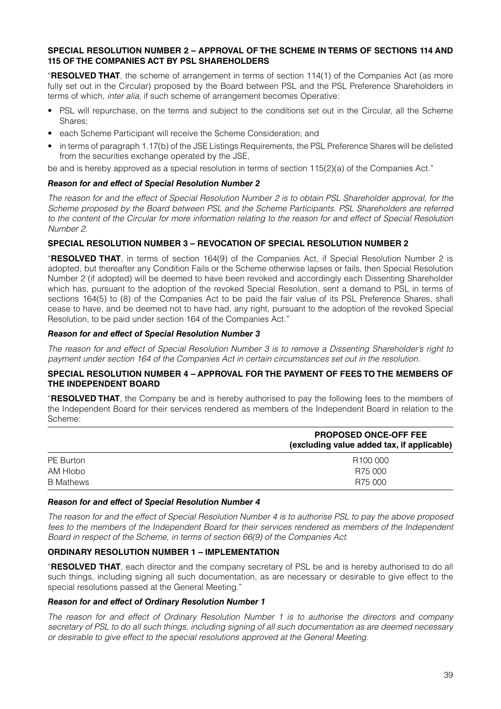# **SPECIAL RESOLUTION NUMBER 2 – APPROVAL OF THE SCHEME IN TERMS OF SECTIONS 114 AND 115 OF THE COMPANIES ACT BY PSL SHAREHOLDERS**

"**RESOLVED THAT**, the scheme of arrangement in terms of section 114(1) of the Companies Act (as more fully set out in the Circular) proposed by the Board between PSL and the PSL Preference Shareholders in terms of which, *inter alia*, if such scheme of arrangement becomes Operative:

- PSL will repurchase, on the terms and subject to the conditions set out in the Circular, all the Scheme Shares;
- each Scheme Participant will receive the Scheme Consideration; and
- in terms of paragraph 1.17(b) of the JSE Listings Requirements, the PSL Preference Shares will be delisted from the securities exchange operated by the JSE,

be and is hereby approved as a special resolution in terms of section 115(2)(a) of the Companies Act."

## *Reason for and effect of Special Resolution Number 2*

*The reason for and the effect of Special Resolution Number 2 is to obtain PSL Shareholder approval, for the Scheme proposed by the Board between PSL and the Scheme Participants. PSL Shareholders are referred to the content of the Circular for more information relating to the reason for and effect of Special Resolution Number 2.*

## **SPECIAL RESOLUTION NUMBER 3 – REVOCATION OF SPECIAL RESOLUTION NUMBER 2**

"**RESOLVED THAT**, in terms of section 164(9) of the Companies Act, if Special Resolution Number 2 is adopted, but thereafter any Condition Fails or the Scheme otherwise lapses or fails, then Special Resolution Number 2 (if adopted) will be deemed to have been revoked and accordingly each Dissenting Shareholder which has, pursuant to the adoption of the revoked Special Resolution, sent a demand to PSL in terms of sections 164(5) to (8) of the Companies Act to be paid the fair value of its PSL Preference Shares, shall cease to have, and be deemed not to have had, any right, pursuant to the adoption of the revoked Special Resolution, to be paid under section 164 of the Companies Act."

## *Reason for and effect of Special Resolution Number 3*

*The reason for and effect of Special Resolution Number 3 is to remove a Dissenting Shareholder's right to payment under section 164 of the Companies Act in certain circumstances set out in the resolution.*

## **SPECIAL RESOLUTION NUMBER 4 – APPROVAL FOR THE PAYMENT OF FEES TO THE MEMBERS OF THE INDEPENDENT BOARD**

"**RESOLVED THAT**, the Company be and is hereby authorised to pay the following fees to the members of the Independent Board for their services rendered as members of the Independent Board in relation to the Scheme:

|                  | <b>PROPOSED ONCE-OFF FEE</b><br>(excluding value added tax, if applicable) |  |  |
|------------------|----------------------------------------------------------------------------|--|--|
| PE Burton        | R <sub>100</sub> 000                                                       |  |  |
| AM Hlobo         | R75 000                                                                    |  |  |
| <b>B</b> Mathews | R75 000                                                                    |  |  |

## *Reason for and effect of Special Resolution Number 4*

*The reason for and the effect of Special Resolution Number 4 is to authorise PSL to pay the above proposed fees to the members of the Independent Board for their services rendered as members of the Independent Board in respect of the Scheme, in terms of section 66(9) of the Companies Act.*

# **ORDINARY RESOLUTION NUMBER 1 – IMPLEMENTATION**

"**RESOLVED THAT**, each director and the company secretary of PSL be and is hereby authorised to do all such things, including signing all such documentation, as are necessary or desirable to give effect to the special resolutions passed at the General Meeting."

## *Reason for and effect of Ordinary Resolution Number 1*

*The reason for and effect of Ordinary Resolution Number 1 is to authorise the directors and company secretary of PSL to do all such things, including signing of all such documentation as are deemed necessary or desirable to give effect to the special resolutions approved at the General Meeting.*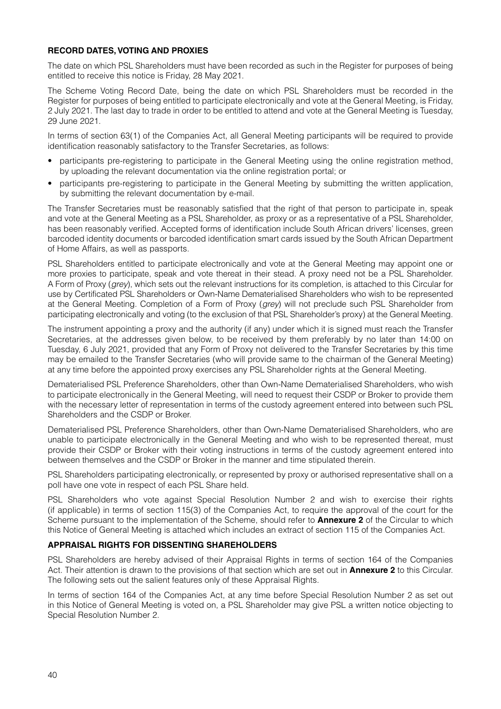# **RECORD DATES, VOTING AND PROXIES**

The date on which PSL Shareholders must have been recorded as such in the Register for purposes of being entitled to receive this notice is Friday, 28 May 2021.

The Scheme Voting Record Date, being the date on which PSL Shareholders must be recorded in the Register for purposes of being entitled to participate electronically and vote at the General Meeting, is Friday, 2 July 2021. The last day to trade in order to be entitled to attend and vote at the General Meeting is Tuesday, 29 June 2021.

In terms of section 63(1) of the Companies Act, all General Meeting participants will be required to provide identification reasonably satisfactory to the Transfer Secretaries, as follows:

- participants pre-registering to participate in the General Meeting using the online registration method, by uploading the relevant documentation via the online registration portal; or
- participants pre-registering to participate in the General Meeting by submitting the written application, by submitting the relevant documentation by e-mail.

The Transfer Secretaries must be reasonably satisfied that the right of that person to participate in, speak and vote at the General Meeting as a PSL Shareholder, as proxy or as a representative of a PSL Shareholder, has been reasonably verified. Accepted forms of identification include South African drivers' licenses, green barcoded identity documents or barcoded identification smart cards issued by the South African Department of Home Affairs, as well as passports.

PSL Shareholders entitled to participate electronically and vote at the General Meeting may appoint one or more proxies to participate, speak and vote thereat in their stead. A proxy need not be a PSL Shareholder. A Form of Proxy (*grey*), which sets out the relevant instructions for its completion, is attached to this Circular for use by Certificated PSL Shareholders or Own-Name Dematerialised Shareholders who wish to be represented at the General Meeting. Completion of a Form of Proxy (*grey*) will not preclude such PSL Shareholder from participating electronically and voting (to the exclusion of that PSL Shareholder's proxy) at the General Meeting.

The instrument appointing a proxy and the authority (if any) under which it is signed must reach the Transfer Secretaries, at the addresses given below, to be received by them preferably by no later than 14:00 on Tuesday, 6 July 2021, provided that any Form of Proxy not delivered to the Transfer Secretaries by this time may be emailed to the Transfer Secretaries (who will provide same to the chairman of the General Meeting) at any time before the appointed proxy exercises any PSL Shareholder rights at the General Meeting.

Dematerialised PSL Preference Shareholders, other than Own-Name Dematerialised Shareholders, who wish to participate electronically in the General Meeting, will need to request their CSDP or Broker to provide them with the necessary letter of representation in terms of the custody agreement entered into between such PSL Shareholders and the CSDP or Broker.

Dematerialised PSL Preference Shareholders, other than Own-Name Dematerialised Shareholders, who are unable to participate electronically in the General Meeting and who wish to be represented thereat, must provide their CSDP or Broker with their voting instructions in terms of the custody agreement entered into between themselves and the CSDP or Broker in the manner and time stipulated therein.

PSL Shareholders participating electronically, or represented by proxy or authorised representative shall on a poll have one vote in respect of each PSL Share held.

PSL Shareholders who vote against Special Resolution Number 2 and wish to exercise their rights (if applicable) in terms of section 115(3) of the Companies Act, to require the approval of the court for the Scheme pursuant to the implementation of the Scheme, should refer to **Annexure 2** of the Circular to which this Notice of General Meeting is attached which includes an extract of section 115 of the Companies Act.

# **APPRAISAL RIGHTS FOR DISSENTING SHAREHOLDERS**

PSL Shareholders are hereby advised of their Appraisal Rights in terms of section 164 of the Companies Act. Their attention is drawn to the provisions of that section which are set out in **Annexure 2** to this Circular. The following sets out the salient features only of these Appraisal Rights.

In terms of section 164 of the Companies Act, at any time before Special Resolution Number 2 as set out in this Notice of General Meeting is voted on, a PSL Shareholder may give PSL a written notice objecting to Special Resolution Number 2.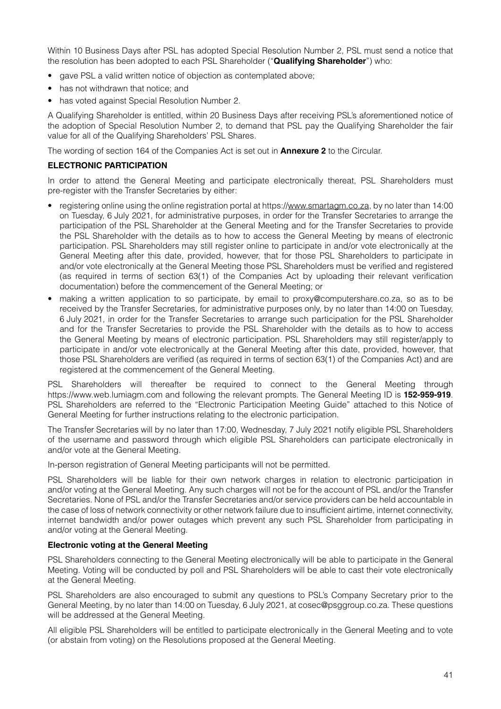Within 10 Business Days after PSL has adopted Special Resolution Number 2, PSL must send a notice that the resolution has been adopted to each PSL Shareholder ("**Qualifying Shareholder**") who:

- gave PSL a valid written notice of objection as contemplated above;
- has not withdrawn that notice; and
- has voted against Special Resolution Number 2.

A Qualifying Shareholder is entitled, within 20 Business Days after receiving PSL's aforementioned notice of the adoption of Special Resolution Number 2, to demand that PSL pay the Qualifying Shareholder the fair value for all of the Qualifying Shareholders' PSL Shares.

The wording of section 164 of the Companies Act is set out in **Annexure 2** to the Circular.

# **ELECTRONIC PARTICIPATION**

In order to attend the General Meeting and participate electronically thereat, PSL Shareholders must pre-register with the Transfer Secretaries by either:

- registering online using the online registration portal at https://www.smartagm.co.za, by no later than 14:00 on Tuesday, 6 July 2021, for administrative purposes, in order for the Transfer Secretaries to arrange the participation of the PSL Shareholder at the General Meeting and for the Transfer Secretaries to provide the PSL Shareholder with the details as to how to access the General Meeting by means of electronic participation. PSL Shareholders may still register online to participate in and/or vote electronically at the General Meeting after this date, provided, however, that for those PSL Shareholders to participate in and/or vote electronically at the General Meeting those PSL Shareholders must be verified and registered (as required in terms of section 63(1) of the Companies Act by uploading their relevant verification documentation) before the commencement of the General Meeting; or
- making a written application to so participate, by email to proxy@computershare.co.za, so as to be received by the Transfer Secretaries, for administrative purposes only, by no later than 14:00 on Tuesday, 6 July 2021, in order for the Transfer Secretaries to arrange such participation for the PSL Shareholder and for the Transfer Secretaries to provide the PSL Shareholder with the details as to how to access the General Meeting by means of electronic participation. PSL Shareholders may still register/apply to participate in and/or vote electronically at the General Meeting after this date, provided, however, that those PSL Shareholders are verified (as required in terms of section 63(1) of the Companies Act) and are registered at the commencement of the General Meeting.

PSL Shareholders will thereafter be required to connect to the General Meeting through https://www.web.lumiagm.com and following the relevant prompts. The General Meeting ID is **152-959-919**. PSL Shareholders are referred to the "Electronic Participation Meeting Guide" attached to this Notice of General Meeting for further instructions relating to the electronic participation.

The Transfer Secretaries will by no later than 17:00, Wednesday, 7 July 2021 notify eligible PSL Shareholders of the username and password through which eligible PSL Shareholders can participate electronically in and/or vote at the General Meeting.

In-person registration of General Meeting participants will not be permitted.

PSL Shareholders will be liable for their own network charges in relation to electronic participation in and/or voting at the General Meeting. Any such charges will not be for the account of PSL and/or the Transfer Secretaries. None of PSL and/or the Transfer Secretaries and/or service providers can be held accountable in the case of loss of network connectivity or other network failure due to insufficient airtime, internet connectivity, internet bandwidth and/or power outages which prevent any such PSL Shareholder from participating in and/or voting at the General Meeting.

### **Electronic voting at the General Meeting**

PSL Shareholders connecting to the General Meeting electronically will be able to participate in the General Meeting. Voting will be conducted by poll and PSL Shareholders will be able to cast their vote electronically at the General Meeting.

PSL Shareholders are also encouraged to submit any questions to PSL's Company Secretary prior to the General Meeting, by no later than 14:00 on Tuesday, 6 July 2021, at cosec@psggroup.co.za. These questions will be addressed at the General Meeting.

All eligible PSL Shareholders will be entitled to participate electronically in the General Meeting and to vote (or abstain from voting) on the Resolutions proposed at the General Meeting.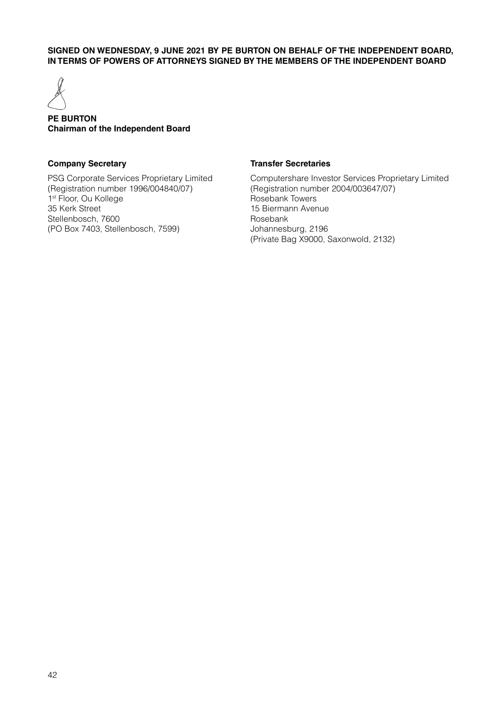# **SIGNED ON WEDNESDAY, 9 JUNE 2021 BY PE BURTON ON BEHALF OF THE INDEPENDENT BOARD, IN TERMS OF POWERS OF ATTORNEYS SIGNED BY THE MEMBERS OF THE INDEPENDENT BOARD**



# **PE BURTON Chairman of the Independent Board**

# **Company Secretary**

PSG Corporate Services Proprietary Limited (Registration number 1996/004840/07) 1<sup>st</sup> Floor, Ou Kollege 35 Kerk Street Stellenbosch, 7600 (PO Box 7403, Stellenbosch, 7599)

# **Transfer Secretaries**

Computershare Investor Services Proprietary Limited (Registration number 2004/003647/07) Rosebank Towers 15 Biermann Avenue Rosebank Johannesburg, 2196 (Private Bag X9000, Saxonwold, 2132)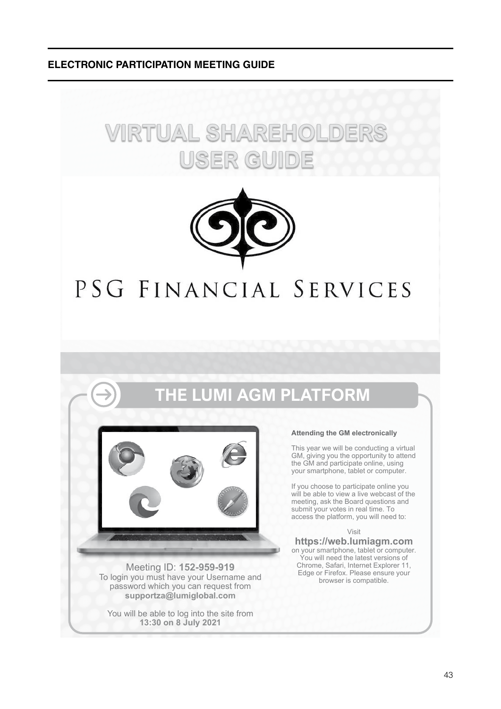**ELECTRONIC PARTICIPATION MEETING GUIDE**





# PSG FINANCIAL SERVICES

# **THE LUMI AGM PLATFORM**



Meeting ID: **152-959-919** To login you must have your Username and password which you can request from **supportza@lumiglobal.com**

You will be able to log into the site from **13:30 on 8 July 2021**

#### **Attending the GM electronically**

This year we will be conducting a virtual GM, giving you the opportunity to attend the GM and participate online, using your smartphone, tablet or computer.

If you choose to participate online you will be able to view a live webcast of the meeting, ask the Board questions and submit your votes in real time. To access the platform, you will need to:

Visit

**https://web.lumiagm.com** on your smartphone, tablet or computer. You will need the latest versions of Chrome, Safari, Internet Explorer 11, Edge or Firefox. Please ensure your browser is compatible.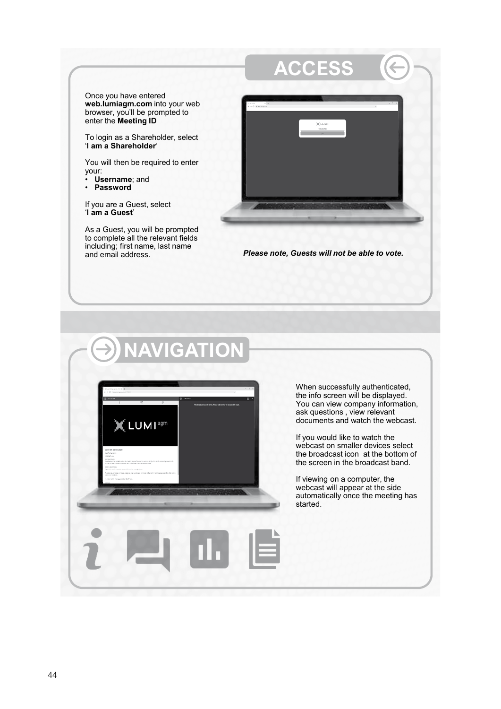Once you have entered **web.lumiagm.com** into your web browser, you'll be prompted to enter the **Meeting ID**

To login as a Shareholder, select '**I am a Shareholder**'

You will then be required to enter your:

- **Username**; and
- **Password**

If you are a Guest, select '**I am a Guest**'

As a Guest, you will be prompted to complete all the relevant fields including; first name, last name



**Please note, Guests will not be able to vote.** 

# **NAVIGATION**



When successfully authenticated, the info screen will be displayed. You can view company information, ask questions , view relevant documents and watch the webcast.

If you would like to watch the webcast on smaller devices select the broadcast icon at the bottom of the screen in the broadcast band.

If viewing on a computer, the webcast will appear at the side automatically once the meeting has started.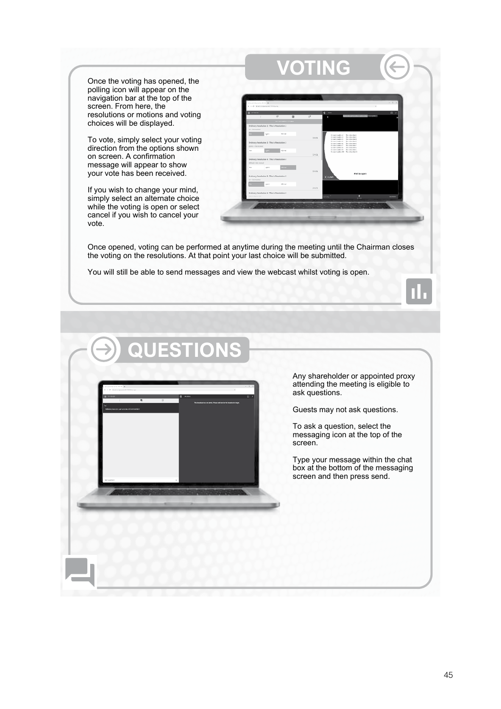Once the voting has opened, the polling icon will appear on the navigation bar at the top of the screen. From here, the resolutions or motions and voting choices will be displayed.

To vote, simply select your voting direction from the options shown on screen. A confirmation message will appear to show your vote has been received.

If you wish to change your mind, simply select an alternate choice while the voting is open or select cancel if you wish to cancel your vote.

| If is seller because of the 1980 and<br>6 0 0 Autorquences Williams  |                                              |                     |                                                                                                                       |                                | $-5x$           |
|----------------------------------------------------------------------|----------------------------------------------|---------------------|-----------------------------------------------------------------------------------------------------------------------|--------------------------------|-----------------|
| <b>E</b> WALK<br>×                                                   | 19<br>$\overline{a}$                         | a.<br>$\mathcal{F}$ | $2 -$                                                                                                                 | <b>CONTRACTORS CONTRACTORS</b> | $n \rightarrow$ |
| Ordinary Resolution 2 : This is Resolution 2                         | Suite debut d'Oren                           |                     |                                                                                                                       |                                |                 |
| Far - Hote technol<br>April 10                                       | <b>Windows</b>                               |                     |                                                                                                                       |                                |                 |
|                                                                      |                                              | <b>CANCHE</b>       | Ecran Inden 2 The chanded<br>TO BAR SCARDLER - The administrator<br>ECAN Salidary To shouldn't                        |                                |                 |
| Ordinary Resolution 3 ; This is Resolution 3<br>Aprint - Vall readed |                                              |                     | Ecken Saddord - To chanders<br>Curse, Saddorf, Technologie<br>Event Index: 7 Reviewald<br>Eugen Saddord - Received In |                                |                 |
| <b>NAME OF</b><br><b>For</b>                                         | 43,0540                                      | DROZ                | Expan Instance) Re-allocated<br>Expert Sydney Mr., The a Resident's                                                   |                                |                 |
| Ordinary Resolution 4 : This is Resolution 4                         |                                              |                     |                                                                                                                       |                                |                 |
| <b>EDSAGE</b> , Eds. serviced<br>ALL Y<br>b.                         |                                              |                     |                                                                                                                       |                                |                 |
|                                                                      |                                              | DAVON.              |                                                                                                                       | Pall is open                   |                 |
| Ordinary Resolution S : This is Resolution S<br>Far-Hite teacher     |                                              |                     | <b>XLUMI</b>                                                                                                          |                                |                 |
| Apr in                                                               | <b>VELVAL</b>                                | DEACH.              |                                                                                                                       |                                |                 |
|                                                                      | Ordinary Resolution 6 : This is Resolution 6 |                     |                                                                                                                       |                                |                 |

Once opened, voting can be performed at anytime during the meeting until the Chairman closes the voting on the resolutions. At that point your last choice will be submitted.

You will still be able to send messages and view the webcast whilst voting is open.

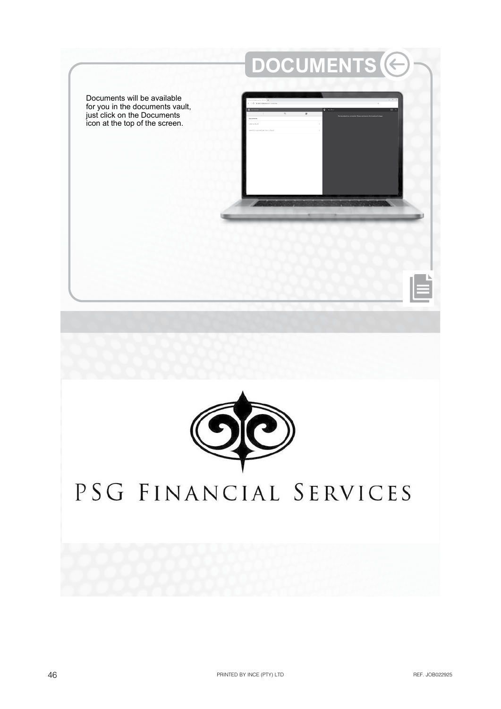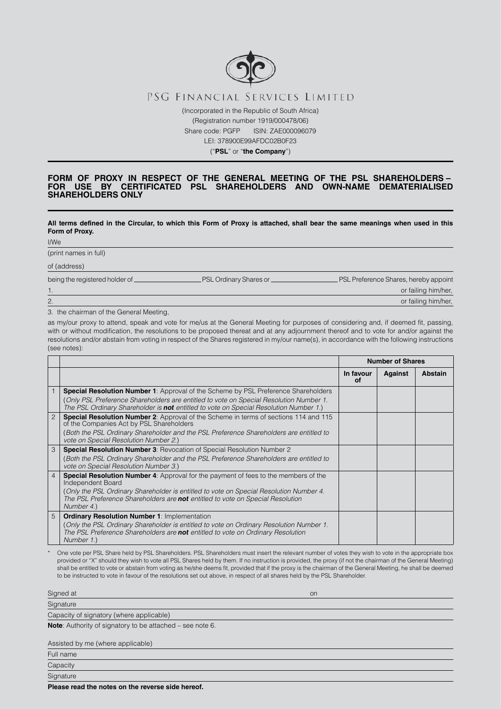

Share code: PGFP ISIN: ZAE000096079

LEI: 378900E99AFDC02B0F23

("**PSL**" or "**the Company**")

#### **FORM OF PROXY IN RESPECT OF THE GENERAL MEETING OF THE PSL SHAREHOLDERS – FOR USE BY CERTIFICATED PSL SHAREHOLDERS AND OWN-NAME DEMATERIALISED SHAREHOLDERS ONLY**

**All terms defined in the Circular, to which this Form of Proxy is attached, shall bear the same meanings when used in this Form of Proxy.**

I/We

(print names in full)

of (address)

being the registered holder of **PSL Ordinary Shares or 
PSL Preference Shares**, hereby appoint

3. the chairman of the General Meeting,

as my/our proxy to attend, speak and vote for me/us at the General Meeting for purposes of considering and, if deemed fit, passing, with or without modification, the resolutions to be proposed thereat and at any adjournment thereof and to vote for and/or against the resolutions and/or abstain from voting in respect of the Shares registered in my/our name(s), in accordance with the following instructions (see notes):

1. Only the contract of the contract of the contract of the contract of the contract of the contract of the contract of the contract of the contract of the contract of the contract of the contract of the contract of the co 2. Or failing him/her, the contract of the contract of the contract of the contract of the contract of the contract of the contract of the contract of the contract of the contract of the contract of the contract of the con

|                |                                                                                                                                                                                                                                                                                                           | <b>Number of Shares</b> |         |         |
|----------------|-----------------------------------------------------------------------------------------------------------------------------------------------------------------------------------------------------------------------------------------------------------------------------------------------------------|-------------------------|---------|---------|
|                |                                                                                                                                                                                                                                                                                                           | In favour<br>οf         | Against | Abstain |
| $\mathbf{1}$   | <b>Special Resolution Number 1:</b> Approval of the Scheme by PSL Preference Shareholders<br>(Only PSL Preference Shareholders are entitled to vote on Special Resolution Number 1.<br>The PSL Ordinary Shareholder is not entitled to vote on Special Resolution Number 1.)                              |                         |         |         |
| $\overline{c}$ | Special Resolution Number 2: Approval of the Scheme in terms of sections 114 and 115<br>of the Companies Act by PSL Shareholders<br>(Both the PSL Ordinary Shareholder and the PSL Preference Shareholders are entitled to<br>vote on Special Resolution Number 2.)                                       |                         |         |         |
| 3              | <b>Special Resolution Number 3: Revocation of Special Resolution Number 2</b><br>(Both the PSL Ordinary Shareholder and the PSL Preference Shareholders are entitled to<br>vote on Special Resolution Number 3.)                                                                                          |                         |         |         |
| $\overline{4}$ | <b>Special Resolution Number 4:</b> Approval for the payment of fees to the members of the<br>Independent Board<br>(Only the PSL Ordinary Shareholder is entitled to vote on Special Resolution Number 4.<br>The PSL Preference Shareholders are not entitled to vote on Special Resolution<br>Number 4.) |                         |         |         |
| 5              | <b>Ordinary Resolution Number 1: Implementation</b><br>(Only the PSL Ordinary Shareholder is entitled to vote on Ordinary Resolution Number 1.<br>The PSL Preference Shareholders are not entitled to vote on Ordinary Resolution<br>Number 1.)                                                           |                         |         |         |

One vote per PSL Share held by PSL Shareholders. PSL Shareholders must insert the relevant number of votes they wish to vote in the appropriate box provided or "X" should they wish to vote all PSL Shares held by them. If no instruction is provided, the proxy (if not the chairman of the General Meeting) shall be entitled to vote or abstain from voting as he/she deems fit, provided that if the proxy is the chairman of the General Meeting, he shall be deemed to be instructed to vote in favour of the resolutions set out above, in respect of all shares held by the PSL Shareholder.

| Signed at                                | on |
|------------------------------------------|----|
| Signature                                |    |
| Capacity of signatory (where applicable) |    |
| $\sim$ $\sim$                            |    |

**Note**: Authority of signatory to be attached – see note 6.

Assisted by me (where applicable)

Full name

Capacity Signature

**Please read the notes on the reverse side hereof.**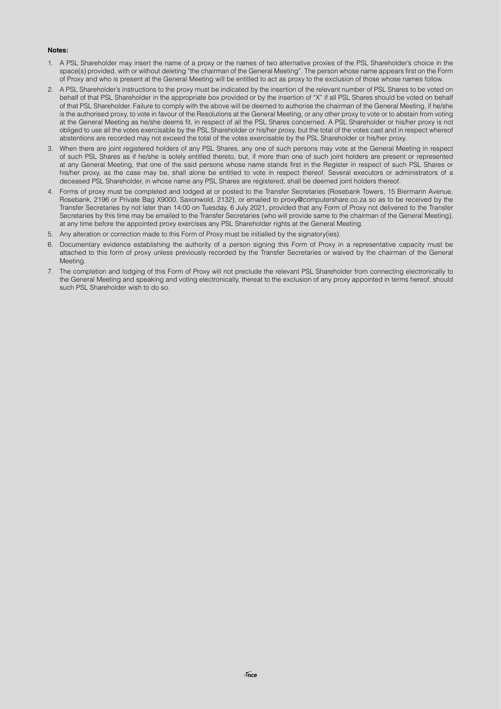#### **Notes:**

- 1. A PSL Shareholder may insert the name of a proxy or the names of two alternative proxies of the PSL Shareholder's choice in the space(s) provided, with or without deleting "the chairman of the General Meeting". The person whose name appears first on the Form of Proxy and who is present at the General Meeting will be entitled to act as proxy to the exclusion of those whose names follow.
- 2. A PSL Shareholder's instructions to the proxy must be indicated by the insertion of the relevant number of PSL Shares to be voted on behalf of that PSL Shareholder in the appropriate box provided or by the insertion of "X" if all PSL Shares should be voted on behalf of that PSL Shareholder. Failure to comply with the above will be deemed to authorise the chairman of the General Meeting, if he/she is the authorised proxy, to vote in favour of the Resolutions at the General Meeting, or any other proxy to vote or to abstain from voting at the General Meeting as he/she deems fit, in respect of all the PSL Shares concerned. A PSL Shareholder or his/her proxy is not obliged to use all the votes exercisable by the PSL Shareholder or his/her proxy, but the total of the votes cast and in respect whereof abstentions are recorded may not exceed the total of the votes exercisable by the PSL Shareholder or his/her proxy.
- 3. When there are joint registered holders of any PSL Shares, any one of such persons may vote at the General Meeting in respect of such PSL Shares as if he/she is solely entitled thereto, but, if more than one of such joint holders are present or represented at any General Meeting, that one of the said persons whose name stands first in the Register in respect of such PSL Shares or his/her proxy, as the case may be, shall alone be entitled to vote in respect thereof. Several executors or administrators of a deceased PSL Shareholder, in whose name any PSL Shares are registered, shall be deemed joint holders thereof.
- 4. Forms of proxy must be completed and lodged at or posted to the Transfer Secretaries (Rosebank Towers, 15 Biermann Avenue, Rosebank, 2196 or Private Bag X9000, Saxonwold, 2132), or emailed to proxy@computershare.co.za so as to be received by the Transfer Secretaries by not later than 14:00 on Tuesday, 6 July 2021, provided that any Form of Proxy not delivered to the Transfer Secretaries by this time may be emailed to the Transfer Secretaries (who will provide same to the chairman of the General Meeting), at any time before the appointed proxy exercises any PSL Shareholder rights at the General Meeting.
- 5. Any alteration or correction made to this Form of Proxy must be initialled by the signatory(ies).
- 6. Documentary evidence establishing the authority of a person signing this Form of Proxy in a representative capacity must be attached to this form of proxy unless previously recorded by the Transfer Secretaries or waived by the chairman of the General **Meeting**
- 7. The completion and lodging of this Form of Proxy will not preclude the relevant PSL Shareholder from connecting electronically to the General Meeting and speaking and voting electronically, thereat to the exclusion of any proxy appointed in terms hereof, should such PSL Shareholder wish to do so.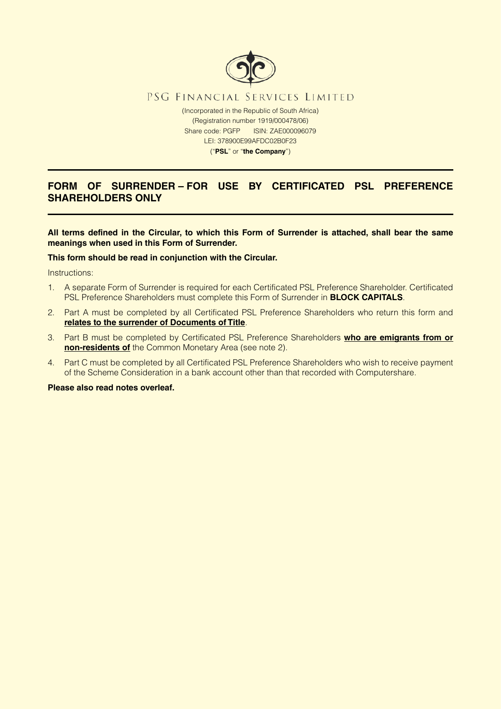

# **FORM OF SURRENDER – FOR USE BY CERTIFICATED PSL PREFERENCE SHAREHOLDERS ONLY**

**All terms defined in the Circular, to which this Form of Surrender is attached, shall bear the same meanings when used in this Form of Surrender.**

## **This form should be read in conjunction with the Circular.**

Instructions:

- 1. A separate Form of Surrender is required for each Certificated PSL Preference Shareholder. Certificated PSL Preference Shareholders must complete this Form of Surrender in **BLOCK CAPITALS**.
- 2. Part A must be completed by all Certificated PSL Preference Shareholders who return this form and **relates to the surrender of Documents of Title**.
- 3. Part B must be completed by Certificated PSL Preference Shareholders **who are emigrants from or non-residents of** the Common Monetary Area (see note 2).
- 4. Part C must be completed by all Certificated PSL Preference Shareholders who wish to receive payment of the Scheme Consideration in a bank account other than that recorded with Computershare.

### **Please also read notes overleaf.**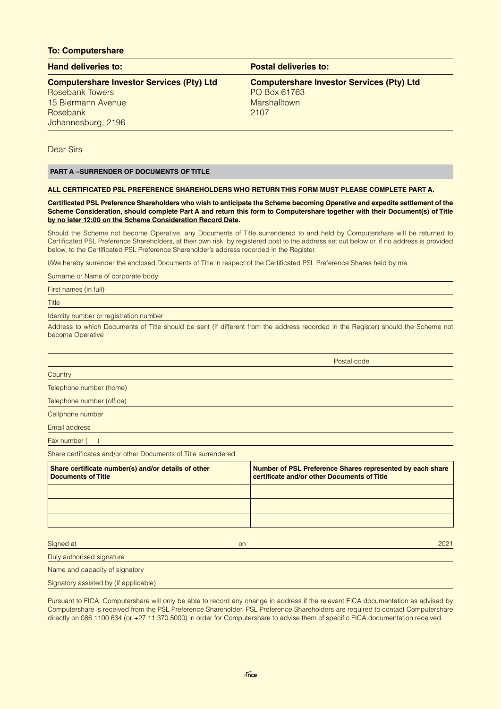### **To: Computershare**

| <b>Hand deliveries to:</b>                       | <b>Postal deliveries to:</b>                     |
|--------------------------------------------------|--------------------------------------------------|
| <b>Computershare Investor Services (Pty) Ltd</b> | <b>Computershare Investor Services (Pty) Ltd</b> |
| <b>Rosebank Towers</b>                           | PO Box 61763                                     |
| 15 Biermann Avenue                               | <b>Marshalltown</b>                              |
| Rosebank                                         | 2107                                             |
| Johannesburg, 2196                               |                                                  |

Dear Sirs

## **PART A –SURRENDER OF DOCUMENTS OF TITLE**

#### **ALL CERTIFICATED PSL PREFERENCE SHAREHOLDERS WHO RETURN THIS FORM MUST PLEASE COMPLETE PART A.**

**Certificated PSL Preference Shareholders who wish to anticipate the Scheme becoming Operative and expedite settlement of the Scheme Consideration, should complete Part A and return this form to Computershare together with their Document(s) of Title by no later 12:00 on the Scheme Consideration Record Date.**

Should the Scheme not become Operative, any Documents of Title surrendered to and held by Computershare will be returned to Certificated PSL Preference Shareholders, at their own risk, by registered post to the address set out below or, if no address is provided below, to the Certificated PSL Preference Shareholder's address recorded in the Register.

I/We hereby surrender the enclosed Documents of Title in respect of the Certificated PSL Preference Shares held by me:

Surname or Name of corporate body

First names (in full)

Title

Identity number or registration number

Address to which Documents of Title should be sent (if different from the address recorded in the Register) should the Scheme not become Operative

Postal code

| Country |  |
|---------|--|
|         |  |

Telephone number (home)

Telephone number (office)

Cellphone number

Email address

Fax number ()

Share certificates and/or other Documents of Title surrendered

| Share certificate number(s) and/or details of other<br><b>Documents of Title</b> | Number of PSL Preference Shares represented by each share<br>certificate and/or other Documents of Title |
|----------------------------------------------------------------------------------|----------------------------------------------------------------------------------------------------------|
|                                                                                  |                                                                                                          |
|                                                                                  |                                                                                                          |
|                                                                                  |                                                                                                          |
| Signed at<br><b>on</b>                                                           | 2021                                                                                                     |
| Duly authorised signature                                                        |                                                                                                          |
| Name and capacity of signatory                                                   |                                                                                                          |
| Signatory assisted by (if applicable)                                            |                                                                                                          |

Pursuant to FICA, Computershare will only be able to record any change in address if the relevant FICA documentation as advised by Computershare is received from the PSL Preference Shareholder. PSL Preference Shareholders are required to contact Computershare directly on 086 1100 634 (or +27 11 370 5000) in order for Computershare to advise them of specific FICA documentation received.